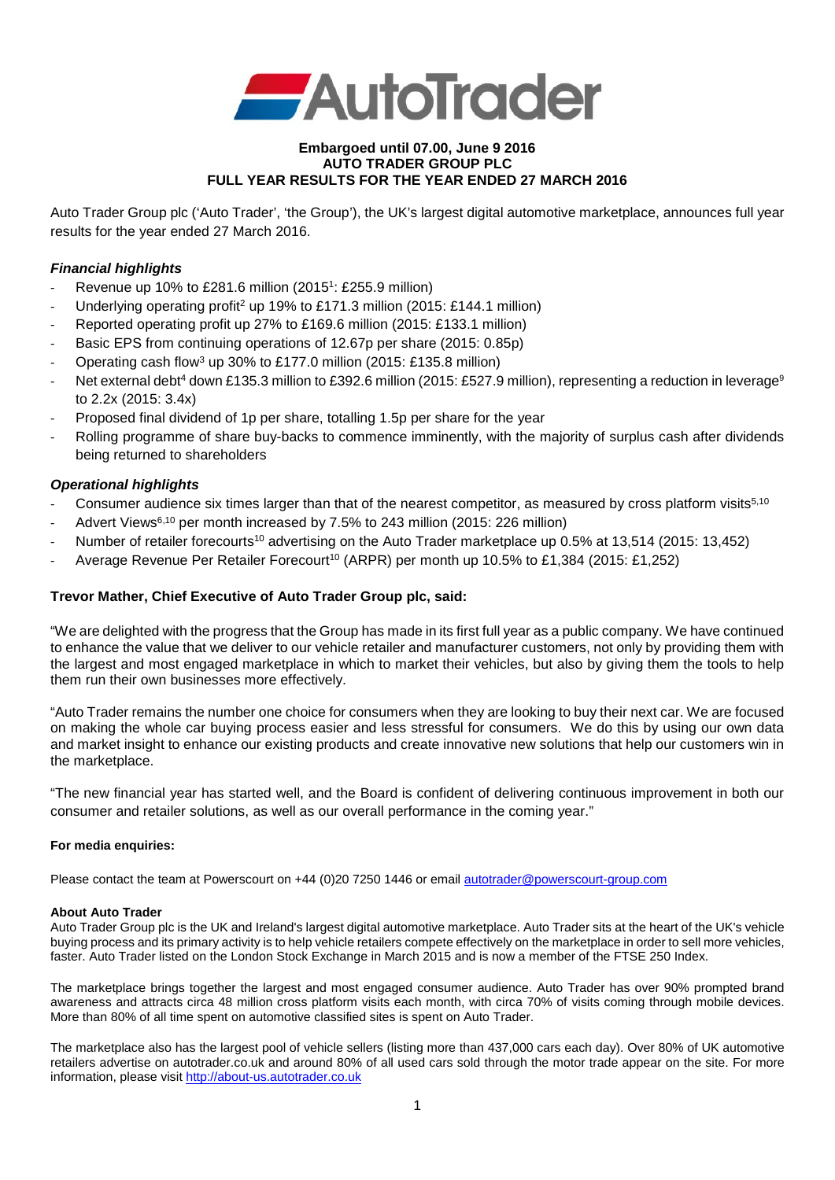

### **Embargoed until 07.00, June 9 2016 AUTO TRADER GROUP PLC FULL YEAR RESULTS FOR THE YEAR ENDED 27 MARCH 2016**

Auto Trader Group plc ('Auto Trader', 'the Group'), the UK's largest digital automotive marketplace, announces full year results for the year ended 27 March 2016.

## *Financial highlights*

- Revenue up 10% to £281.6 million (2015<sup>1</sup>: £255.9 million)
- Underlying operating profit<sup>2</sup> up 19% to £171.3 million (2015: £144.1 million)
- Reported operating profit up 27% to £169.6 million (2015: £133.1 million)
- Basic EPS from continuing operations of 12.67p per share (2015: 0.85p)
- Operating cash flow3 up 30% to £177.0 million (2015: £135.8 million)
- Net external debt<sup>4</sup> down £135.3 million to £392.6 million (2015: £527.9 million), representing a reduction in leverage<sup>9</sup> to 2.2x (2015: 3.4x)
- Proposed final dividend of 1p per share, totalling 1.5p per share for the year
- Rolling programme of share buy-backs to commence imminently, with the majority of surplus cash after dividends being returned to shareholders

## *Operational highlights*

- Consumer audience six times larger than that of the nearest competitor, as measured by cross platform visits<sup>5,10</sup>
- Advert Views<sup>6,10</sup> per month increased by 7.5% to 243 million (2015: 226 million)
- Number of retailer forecourts<sup>10</sup> advertising on the Auto Trader marketplace up 0.5% at 13,514 (2015: 13,452)
- Average Revenue Per Retailer Forecourt<sup>10</sup> (ARPR) per month up 10.5% to £1,384 (2015: £1,252)

## **Trevor Mather, Chief Executive of Auto Trader Group plc, said:**

"We are delighted with the progress that the Group has made in its first full year as a public company. We have continued to enhance the value that we deliver to our vehicle retailer and manufacturer customers, not only by providing them with the largest and most engaged marketplace in which to market their vehicles, but also by giving them the tools to help them run their own businesses more effectively.

"Auto Trader remains the number one choice for consumers when they are looking to buy their next car. We are focused on making the whole car buying process easier and less stressful for consumers. We do this by using our own data and market insight to enhance our existing products and create innovative new solutions that help our customers win in the marketplace.

"The new financial year has started well, and the Board is confident of delivering continuous improvement in both our consumer and retailer solutions, as well as our overall performance in the coming year."

### **For media enquiries:**

Please contact the team at Powerscourt on +44 (0)20 7250 1446 or email [autotrader@powerscourt-group.com](mailto:autotrader@powerscourt-group.com)

### **About Auto Trader**

Auto Trader Group plc is the UK and Ireland's largest digital automotive marketplace. Auto Trader sits at the heart of the UK's vehicle buying process and its primary activity is to help vehicle retailers compete effectively on the marketplace in order to sell more vehicles, faster. Auto Trader listed on the London Stock Exchange in March 2015 and is now a member of the FTSE 250 Index.

The marketplace brings together the largest and most engaged consumer audience. Auto Trader has over 90% prompted brand awareness and attracts circa 48 million cross platform visits each month, with circa 70% of visits coming through mobile devices. More than 80% of all time spent on automotive classified sites is spent on Auto Trader.

The marketplace also has the largest pool of vehicle sellers (listing more than 437,000 cars each day). Over 80% of UK automotive retailers advertise on autotrader.co.uk and around 80% of all used cars sold through the motor trade appear on the site. For more information, please visi[t http://about-us.autotrader.co.uk](http://about-us.autotrader.co.uk/)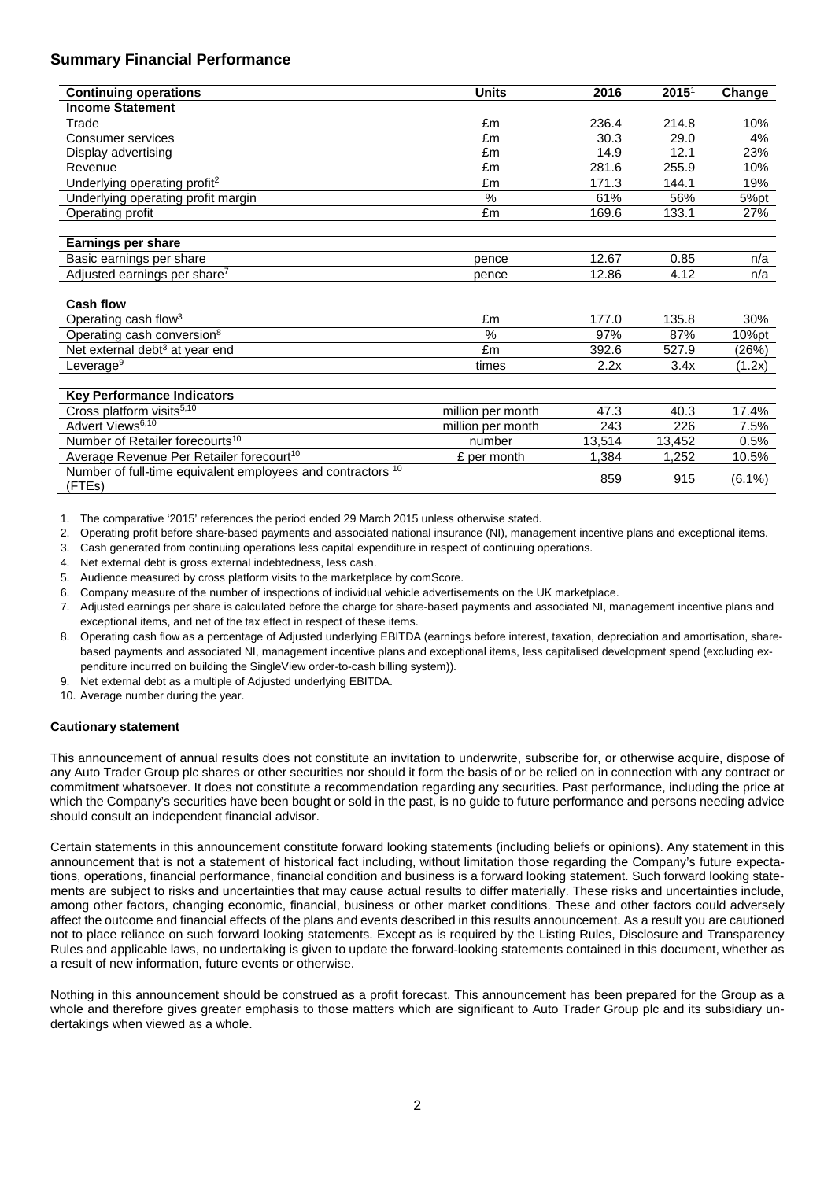## **Summary Financial Performance**

| <b>Continuing operations</b>                                          | <b>Units</b>      | 2016   | 2015 <sup>1</sup> | Change    |
|-----------------------------------------------------------------------|-------------------|--------|-------------------|-----------|
| <b>Income Statement</b>                                               |                   |        |                   |           |
| Trade                                                                 | £m                | 236.4  | 214.8             | 10%       |
| Consumer services                                                     | £m                | 30.3   | 29.0              | 4%        |
| Display advertising                                                   | £m                | 14.9   | 12.1              | 23%       |
| Revenue                                                               | £m                | 281.6  | 255.9             | 10%       |
| Underlying operating profit <sup>2</sup>                              | £m                | 171.3  | 144.1             | 19%       |
| Underlying operating profit margin                                    | $\frac{0}{0}$     | 61%    | 56%               | 5%pt      |
| Operating profit                                                      | £m                | 169.6  | 133.1             | 27%       |
|                                                                       |                   |        |                   |           |
| <b>Earnings per share</b>                                             |                   |        |                   |           |
| Basic earnings per share                                              | pence             | 12.67  | 0.85              | n/a       |
| Adjusted earnings per share <sup>7</sup>                              | pence             | 12.86  | 4.12              | n/a       |
|                                                                       |                   |        |                   |           |
| <b>Cash flow</b>                                                      |                   |        |                   |           |
| Operating cash flow <sup>3</sup>                                      | £m                | 177.0  | 135.8             | 30%       |
| Operating cash conversion <sup>8</sup>                                | $\%$              | 97%    | 87%               | 10%pt     |
| Net external debt <sup>3</sup> at year end                            | £m                | 392.6  | 527.9             | (26%)     |
| Leverage <sup>9</sup>                                                 | times             | 2.2x   | 3.4x              | (1.2x)    |
|                                                                       |                   |        |                   |           |
| <b>Key Performance Indicators</b>                                     |                   |        |                   |           |
| Cross platform visits <sup>5,10</sup>                                 | million per month | 47.3   | 40.3              | 17.4%     |
| Advert Views <sup>6,10</sup>                                          | million per month | 243    | 226               | 7.5%      |
| Number of Retailer forecourts <sup>10</sup>                           | number            | 13,514 | 13,452            | 0.5%      |
| Average Revenue Per Retailer forecourt <sup>10</sup>                  | £ per month       | 1.384  | 1,252             | 10.5%     |
| Number of full-time equivalent employees and contractors 10<br>(FTEs) |                   | 859    | 915               | $(6.1\%)$ |

1. The comparative '2015' references the period ended 29 March 2015 unless otherwise stated.

2. Operating profit before share-based payments and associated national insurance (NI), management incentive plans and exceptional items.

3. Cash generated from continuing operations less capital expenditure in respect of continuing operations.

4. Net external debt is gross external indebtedness, less cash.

5. Audience measured by cross platform visits to the marketplace by comScore.

6. Company measure of the number of inspections of individual vehicle advertisements on the UK marketplace.

7. Adjusted earnings per share is calculated before the charge for share-based payments and associated NI, management incentive plans and exceptional items, and net of the tax effect in respect of these items.

8. Operating cash flow as a percentage of Adjusted underlying EBITDA (earnings before interest, taxation, depreciation and amortisation, sharebased payments and associated NI, management incentive plans and exceptional items, less capitalised development spend (excluding expenditure incurred on building the SingleView order-to-cash billing system)).

9. Net external debt as a multiple of Adjusted underlying EBITDA.

10. Average number during the year.

### **Cautionary statement**

This announcement of annual results does not constitute an invitation to underwrite, subscribe for, or otherwise acquire, dispose of any Auto Trader Group plc shares or other securities nor should it form the basis of or be relied on in connection with any contract or commitment whatsoever. It does not constitute a recommendation regarding any securities. Past performance, including the price at which the Company's securities have been bought or sold in the past, is no guide to future performance and persons needing advice should consult an independent financial advisor.

Certain statements in this announcement constitute forward looking statements (including beliefs or opinions). Any statement in this announcement that is not a statement of historical fact including, without limitation those regarding the Company's future expectations, operations, financial performance, financial condition and business is a forward looking statement. Such forward looking statements are subject to risks and uncertainties that may cause actual results to differ materially. These risks and uncertainties include, among other factors, changing economic, financial, business or other market conditions. These and other factors could adversely affect the outcome and financial effects of the plans and events described in this results announcement. As a result you are cautioned not to place reliance on such forward looking statements. Except as is required by the Listing Rules, Disclosure and Transparency Rules and applicable laws, no undertaking is given to update the forward-looking statements contained in this document, whether as a result of new information, future events or otherwise.

Nothing in this announcement should be construed as a profit forecast. This announcement has been prepared for the Group as a whole and therefore gives greater emphasis to those matters which are significant to Auto Trader Group plc and its subsidiary undertakings when viewed as a whole.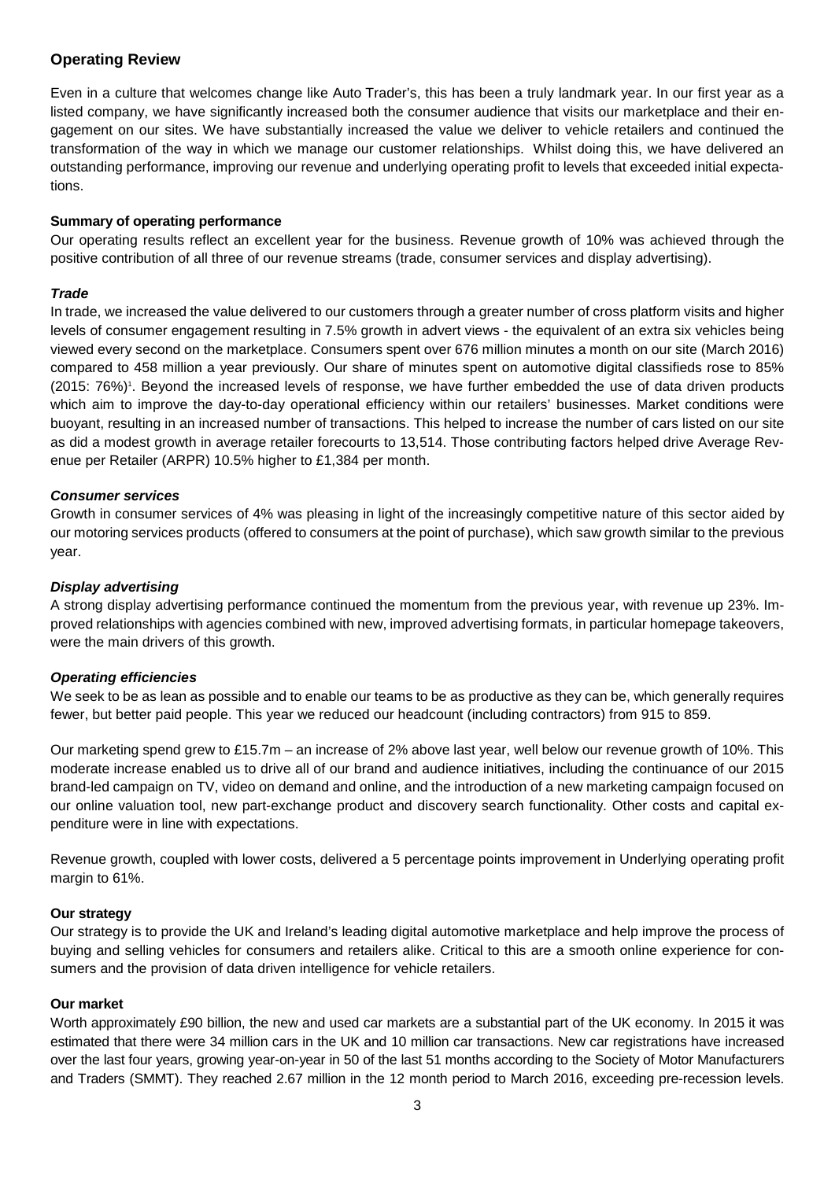## **Operating Review**

Even in a culture that welcomes change like Auto Trader's, this has been a truly landmark year. In our first year as a listed company, we have significantly increased both the consumer audience that visits our marketplace and their engagement on our sites. We have substantially increased the value we deliver to vehicle retailers and continued the transformation of the way in which we manage our customer relationships. Whilst doing this, we have delivered an outstanding performance, improving our revenue and underlying operating profit to levels that exceeded initial expectations.

## **Summary of operating performance**

Our operating results reflect an excellent year for the business. Revenue growth of 10% was achieved through the positive contribution of all three of our revenue streams (trade, consumer services and display advertising).

## *Trade*

In trade, we increased the value delivered to our customers through a greater number of cross platform visits and higher levels of consumer engagement resulting in 7.5% growth in advert views - the equivalent of an extra six vehicles being viewed every second on the marketplace. Consumers spent over 676 million minutes a month on our site (March 2016) compared to 458 million a year previously. Our share of minutes spent on automotive digital classifieds rose to 85% (2015: 76%)<sup>1</sup>. Beyond the increased levels of response, we have further embedded the use of data driven products which aim to improve the day-to-day operational efficiency within our retailers' businesses. Market conditions were buoyant, resulting in an increased number of transactions. This helped to increase the number of cars listed on our site as did a modest growth in average retailer forecourts to 13,514. Those contributing factors helped drive Average Revenue per Retailer (ARPR) 10.5% higher to £1,384 per month.

### *Consumer services*

Growth in consumer services of 4% was pleasing in light of the increasingly competitive nature of this sector aided by our motoring services products (offered to consumers at the point of purchase), which saw growth similar to the previous year.

### *Display advertising*

A strong display advertising performance continued the momentum from the previous year, with revenue up 23%. Improved relationships with agencies combined with new, improved advertising formats, in particular homepage takeovers, were the main drivers of this growth.

## *Operating efficiencies*

We seek to be as lean as possible and to enable our teams to be as productive as they can be, which generally requires fewer, but better paid people. This year we reduced our headcount (including contractors) from 915 to 859.

Our marketing spend grew to £15.7m – an increase of 2% above last year, well below our revenue growth of 10%. This moderate increase enabled us to drive all of our brand and audience initiatives, including the continuance of our 2015 brand-led campaign on TV, video on demand and online, and the introduction of a new marketing campaign focused on our online valuation tool, new part-exchange product and discovery search functionality. Other costs and capital expenditure were in line with expectations.

Revenue growth, coupled with lower costs, delivered a 5 percentage points improvement in Underlying operating profit margin to 61%.

## **Our strategy**

Our strategy is to provide the UK and Ireland's leading digital automotive marketplace and help improve the process of buying and selling vehicles for consumers and retailers alike. Critical to this are a smooth online experience for consumers and the provision of data driven intelligence for vehicle retailers.

### **Our market**

Worth approximately £90 billion, the new and used car markets are a substantial part of the UK economy. In 2015 it was estimated that there were 34 million cars in the UK and 10 million car transactions. New car registrations have increased over the last four years, growing year-on-year in 50 of the last 51 months according to the Society of Motor Manufacturers and Traders (SMMT). They reached 2.67 million in the 12 month period to March 2016, exceeding pre-recession levels.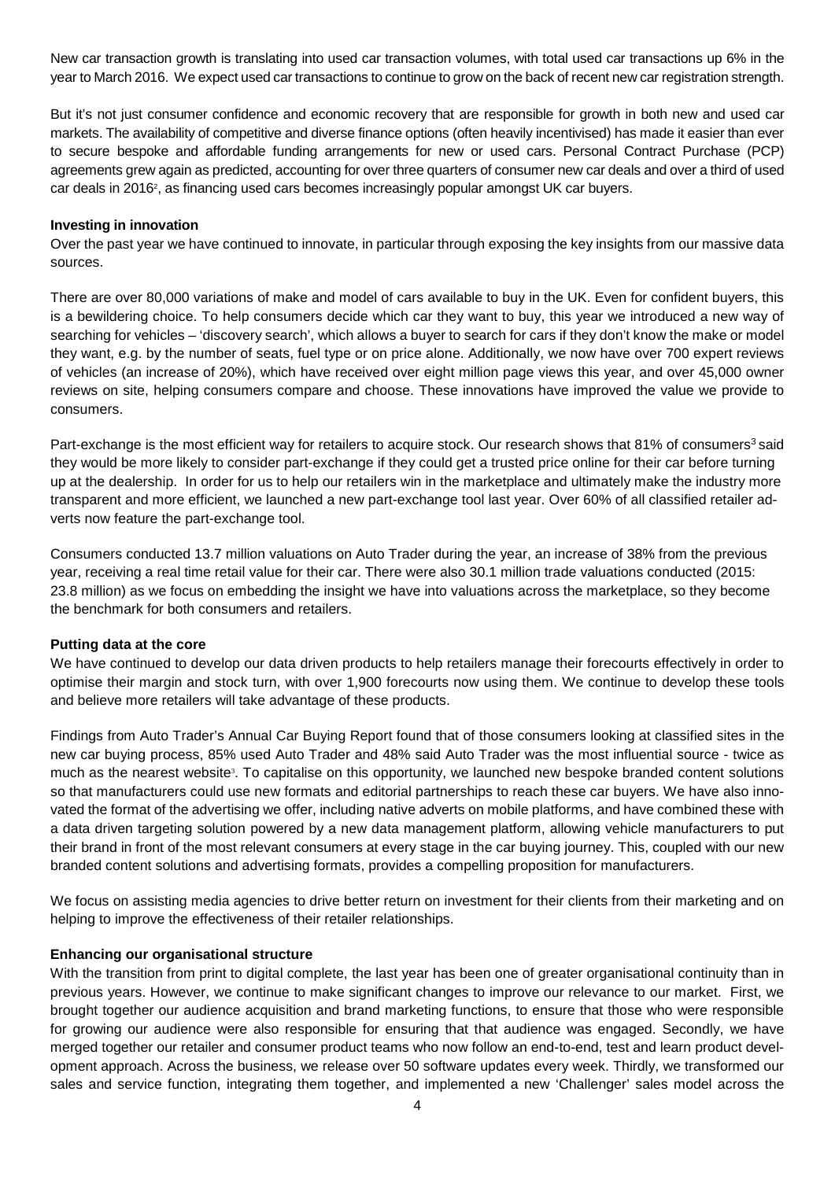New car transaction growth is translating into used car transaction volumes, with total used car transactions up 6% in the year to March 2016. We expect used car transactions to continue to grow on the back of recent new car registration strength.

But it's not just consumer confidence and economic recovery that are responsible for growth in both new and used car markets. The availability of competitive and diverse finance options (often heavily incentivised) has made it easier than ever to secure bespoke and affordable funding arrangements for new or used cars. Personal Contract Purchase (PCP) agreements grew again as predicted, accounting for over three quarters of consumer new car deals and over a third of used car deals in 2016<sup>2</sup>, as financing used cars becomes increasingly popular amongst UK car buyers.

### **Investing in innovation**

Over the past year we have continued to innovate, in particular through exposing the key insights from our massive data sources.

There are over 80,000 variations of make and model of cars available to buy in the UK. Even for confident buyers, this is a bewildering choice. To help consumers decide which car they want to buy, this year we introduced a new way of searching for vehicles – 'discovery search', which allows a buyer to search for cars if they don't know the make or model they want, e.g. by the number of seats, fuel type or on price alone. Additionally, we now have over 700 expert reviews of vehicles (an increase of 20%), which have received over eight million page views this year, and over 45,000 owner reviews on site, helping consumers compare and choose. These innovations have improved the value we provide to consumers.

Part-exchange is the most efficient way for retailers to acquire stock. Our research shows that 81% of consumers<sup>3</sup> said they would be more likely to consider part-exchange if they could get a trusted price online for their car before turning up at the dealership. In order for us to help our retailers win in the marketplace and ultimately make the industry more transparent and more efficient, we launched a new part-exchange tool last year. Over 60% of all classified retailer adverts now feature the part-exchange tool.

Consumers conducted 13.7 million valuations on Auto Trader during the year, an increase of 38% from the previous year, receiving a real time retail value for their car. There were also 30.1 million trade valuations conducted (2015: 23.8 million) as we focus on embedding the insight we have into valuations across the marketplace, so they become the benchmark for both consumers and retailers.

## **Putting data at the core**

We have continued to develop our data driven products to help retailers manage their forecourts effectively in order to optimise their margin and stock turn, with over 1,900 forecourts now using them. We continue to develop these tools and believe more retailers will take advantage of these products.

Findings from Auto Trader's Annual Car Buying Report found that of those consumers looking at classified sites in the new car buying process, 85% used Auto Trader and 48% said Auto Trader was the most influential source - twice as much as the nearest website<sup>3</sup>. To capitalise on this opportunity, we launched new bespoke branded content solutions so that manufacturers could use new formats and editorial partnerships to reach these car buyers. We have also innovated the format of the advertising we offer, including native adverts on mobile platforms, and have combined these with a data driven targeting solution powered by a new data management platform, allowing vehicle manufacturers to put their brand in front of the most relevant consumers at every stage in the car buying journey. This, coupled with our new branded content solutions and advertising formats, provides a compelling proposition for manufacturers.

We focus on assisting media agencies to drive better return on investment for their clients from their marketing and on helping to improve the effectiveness of their retailer relationships.

## **Enhancing our organisational structure**

With the transition from print to digital complete, the last year has been one of greater organisational continuity than in previous years. However, we continue to make significant changes to improve our relevance to our market. First, we brought together our audience acquisition and brand marketing functions, to ensure that those who were responsible for growing our audience were also responsible for ensuring that that audience was engaged. Secondly, we have merged together our retailer and consumer product teams who now follow an end-to-end, test and learn product development approach. Across the business, we release over 50 software updates every week. Thirdly, we transformed our sales and service function, integrating them together, and implemented a new 'Challenger' sales model across the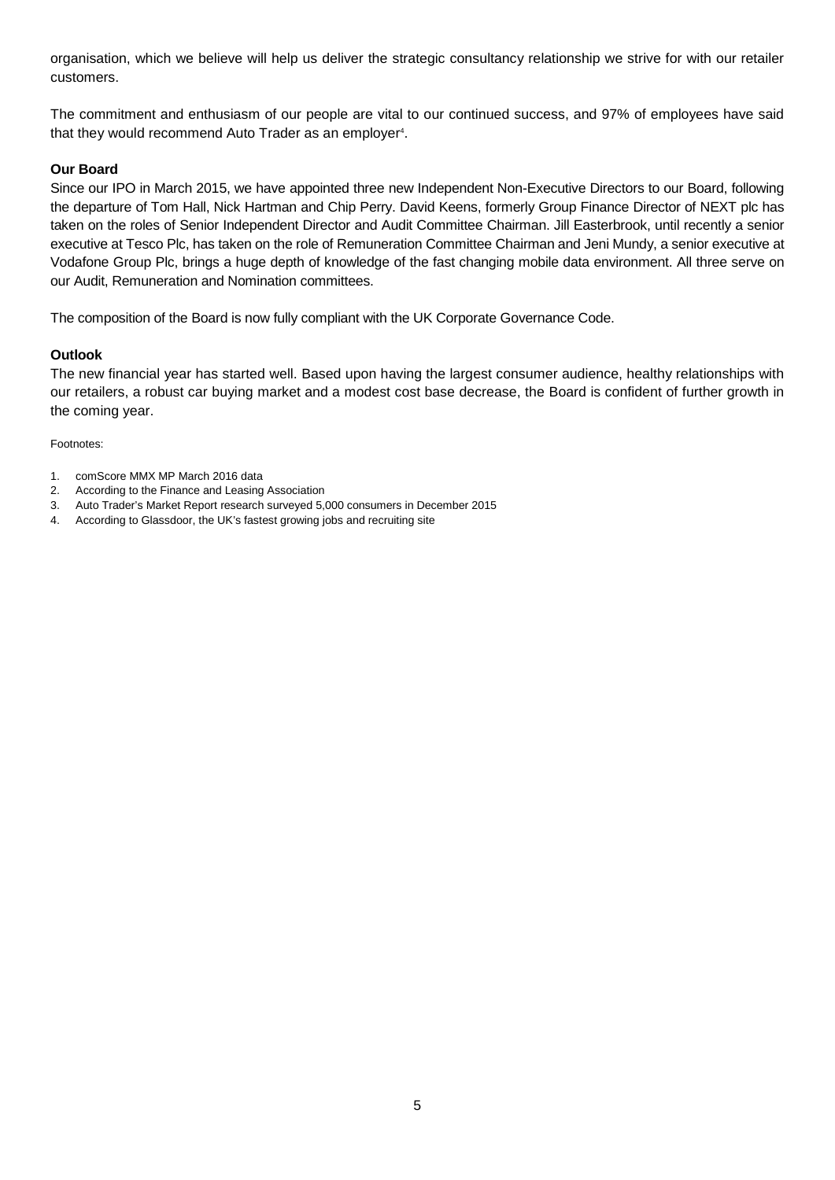organisation, which we believe will help us deliver the strategic consultancy relationship we strive for with our retailer customers.

The commitment and enthusiasm of our people are vital to our continued success, and 97% of employees have said that they would recommend Auto Trader as an employer<sup>4</sup>.

## **Our Board**

Since our IPO in March 2015, we have appointed three new Independent Non-Executive Directors to our Board, following the departure of Tom Hall, Nick Hartman and Chip Perry. David Keens, formerly Group Finance Director of NEXT plc has taken on the roles of Senior Independent Director and Audit Committee Chairman. Jill Easterbrook, until recently a senior executive at Tesco Plc, has taken on the role of Remuneration Committee Chairman and Jeni Mundy, a senior executive at Vodafone Group Plc, brings a huge depth of knowledge of the fast changing mobile data environment. All three serve on our Audit, Remuneration and Nomination committees.

The composition of the Board is now fully compliant with the UK Corporate Governance Code.

## **Outlook**

The new financial year has started well. Based upon having the largest consumer audience, healthy relationships with our retailers, a robust car buying market and a modest cost base decrease, the Board is confident of further growth in the coming year.

Footnotes:

- 1. comScore MMX MP March 2016 data
- 2. According to the Finance and Leasing Association
- 3. Auto Trader's Market Report research surveyed 5,000 consumers in December 2015
- 4. According to Glassdoor, the UK's fastest growing jobs and recruiting site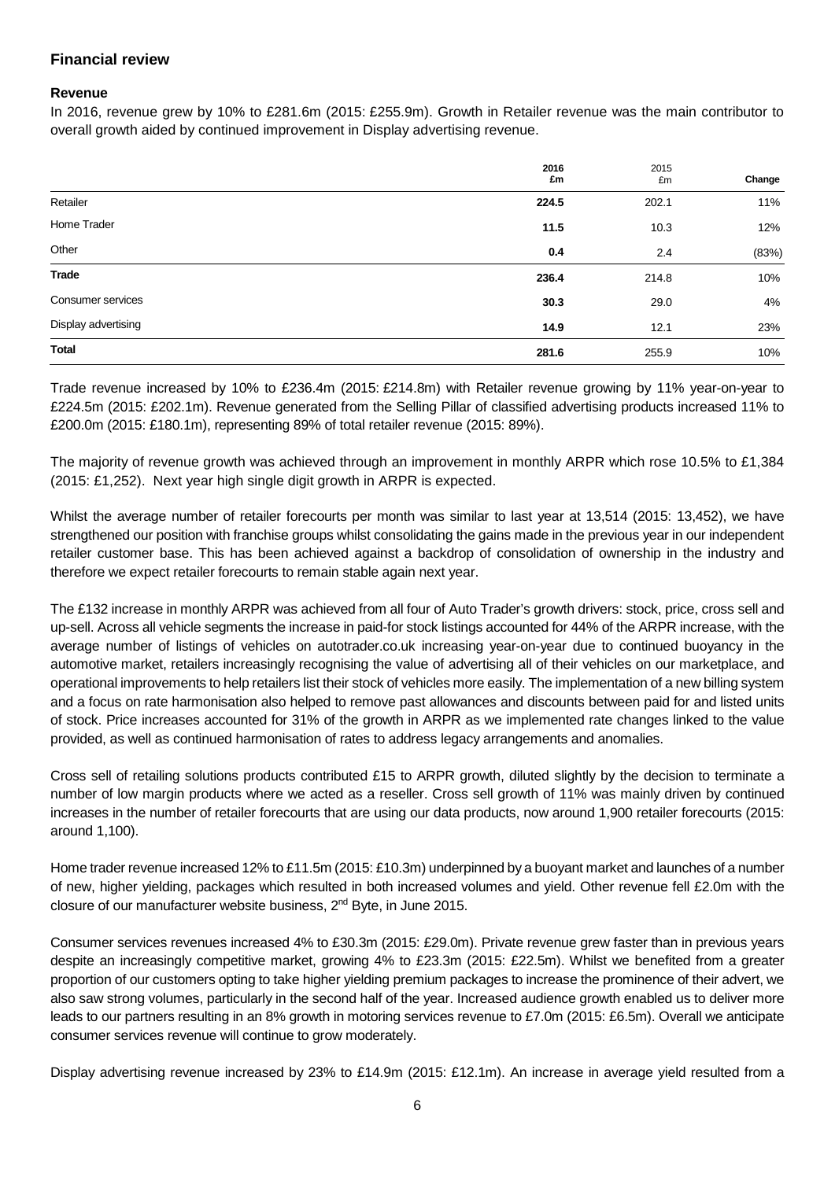## **Financial review**

### **Revenue**

In 2016, revenue grew by 10% to £281.6m (2015: £255.9m). Growth in Retailer revenue was the main contributor to overall growth aided by continued improvement in Display advertising revenue.

|                     | 2016<br>£m | 2015<br>£m | Change |
|---------------------|------------|------------|--------|
| Retailer            | 224.5      | 202.1      | 11%    |
| Home Trader         | 11.5       | 10.3       | 12%    |
| Other               | 0.4        | 2.4        | (83%)  |
| <b>Trade</b>        | 236.4      | 214.8      | 10%    |
| Consumer services   | 30.3       | 29.0       | 4%     |
| Display advertising | 14.9       | 12.1       | 23%    |
| <b>Total</b>        | 281.6      | 255.9      | 10%    |

Trade revenue increased by 10% to £236.4m (2015: £214.8m) with Retailer revenue growing by 11% year-on-year to £224.5m (2015: £202.1m). Revenue generated from the Selling Pillar of classified advertising products increased 11% to £200.0m (2015: £180.1m), representing 89% of total retailer revenue (2015: 89%).

The majority of revenue growth was achieved through an improvement in monthly ARPR which rose 10.5% to £1,384 (2015: £1,252). Next year high single digit growth in ARPR is expected.

Whilst the average number of retailer forecourts per month was similar to last year at 13,514 (2015: 13,452), we have strengthened our position with franchise groups whilst consolidating the gains made in the previous year in our independent retailer customer base. This has been achieved against a backdrop of consolidation of ownership in the industry and therefore we expect retailer forecourts to remain stable again next year.

The £132 increase in monthly ARPR was achieved from all four of Auto Trader's growth drivers: stock, price, cross sell and up-sell. Across all vehicle segments the increase in paid-for stock listings accounted for 44% of the ARPR increase, with the average number of listings of vehicles on autotrader.co.uk increasing year-on-year due to continued buoyancy in the automotive market, retailers increasingly recognising the value of advertising all of their vehicles on our marketplace, and operational improvements to help retailers list their stock of vehicles more easily. The implementation of a new billing system and a focus on rate harmonisation also helped to remove past allowances and discounts between paid for and listed units of stock. Price increases accounted for 31% of the growth in ARPR as we implemented rate changes linked to the value provided, as well as continued harmonisation of rates to address legacy arrangements and anomalies.

Cross sell of retailing solutions products contributed £15 to ARPR growth, diluted slightly by the decision to terminate a number of low margin products where we acted as a reseller. Cross sell growth of 11% was mainly driven by continued increases in the number of retailer forecourts that are using our data products, now around 1,900 retailer forecourts (2015: around 1,100).

Home trader revenue increased 12% to £11.5m (2015: £10.3m) underpinned by a buoyant market and launches of a number of new, higher yielding, packages which resulted in both increased volumes and yield. Other revenue fell £2.0m with the closure of our manufacturer website business, 2nd Byte, in June 2015.

Consumer services revenues increased 4% to £30.3m (2015: £29.0m). Private revenue grew faster than in previous years despite an increasingly competitive market, growing 4% to £23.3m (2015: £22.5m). Whilst we benefited from a greater proportion of our customers opting to take higher yielding premium packages to increase the prominence of their advert, we also saw strong volumes, particularly in the second half of the year. Increased audience growth enabled us to deliver more leads to our partners resulting in an 8% growth in motoring services revenue to £7.0m (2015: £6.5m). Overall we anticipate consumer services revenue will continue to grow moderately.

Display advertising revenue increased by 23% to £14.9m (2015: £12.1m). An increase in average yield resulted from a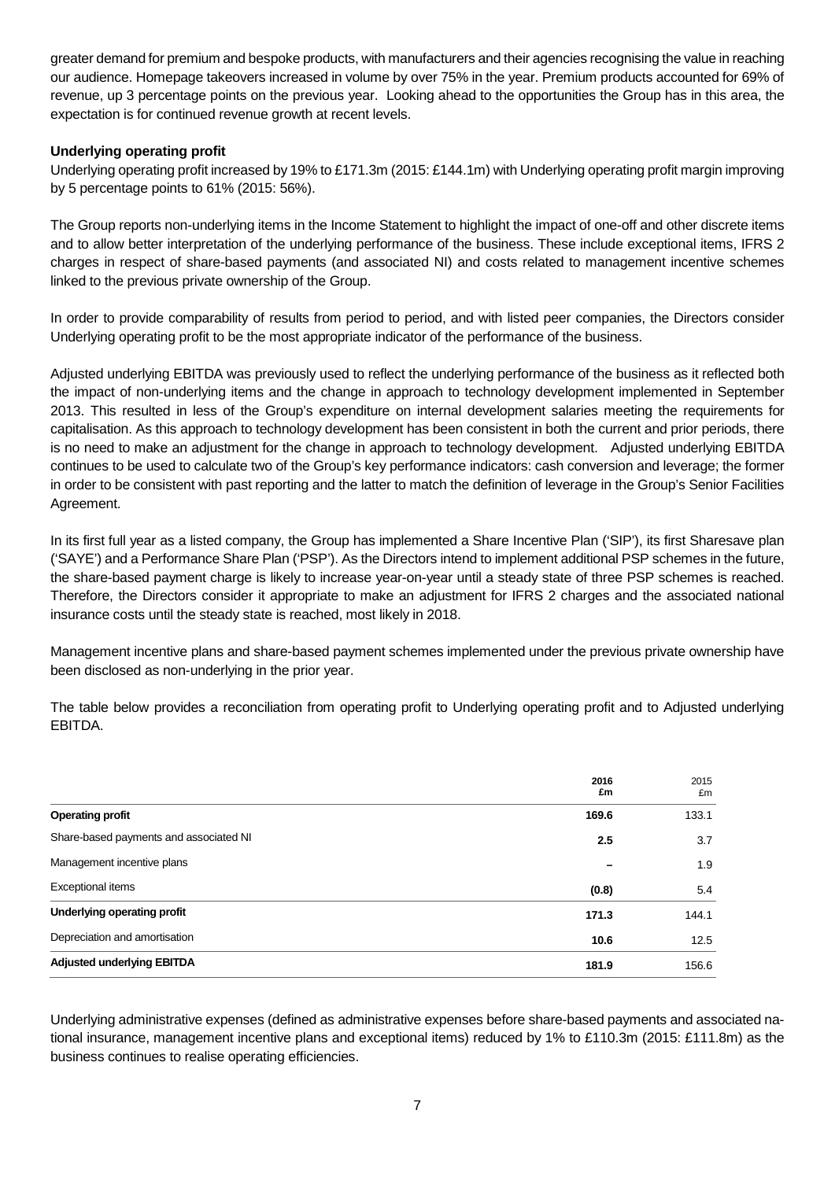greater demand for premium and bespoke products, with manufacturers and their agencies recognising the value in reaching our audience. Homepage takeovers increased in volume by over 75% in the year. Premium products accounted for 69% of revenue, up 3 percentage points on the previous year. Looking ahead to the opportunities the Group has in this area, the expectation is for continued revenue growth at recent levels.

## **Underlying operating profit**

Underlying operating profit increased by 19% to £171.3m (2015: £144.1m) with Underlying operating profit margin improving by 5 percentage points to 61% (2015: 56%).

The Group reports non-underlying items in the Income Statement to highlight the impact of one-off and other discrete items and to allow better interpretation of the underlying performance of the business. These include exceptional items, IFRS 2 charges in respect of share-based payments (and associated NI) and costs related to management incentive schemes linked to the previous private ownership of the Group.

In order to provide comparability of results from period to period, and with listed peer companies, the Directors consider Underlying operating profit to be the most appropriate indicator of the performance of the business.

Adjusted underlying EBITDA was previously used to reflect the underlying performance of the business as it reflected both the impact of non-underlying items and the change in approach to technology development implemented in September 2013. This resulted in less of the Group's expenditure on internal development salaries meeting the requirements for capitalisation. As this approach to technology development has been consistent in both the current and prior periods, there is no need to make an adjustment for the change in approach to technology development. Adjusted underlying EBITDA continues to be used to calculate two of the Group's key performance indicators: cash conversion and leverage; the former in order to be consistent with past reporting and the latter to match the definition of leverage in the Group's Senior Facilities Agreement.

In its first full year as a listed company, the Group has implemented a Share Incentive Plan ('SIP'), its first Sharesave plan ('SAYE') and a Performance Share Plan ('PSP'). As the Directors intend to implement additional PSP schemes in the future, the share-based payment charge is likely to increase year-on-year until a steady state of three PSP schemes is reached. Therefore, the Directors consider it appropriate to make an adjustment for IFRS 2 charges and the associated national insurance costs until the steady state is reached, most likely in 2018.

Management incentive plans and share-based payment schemes implemented under the previous private ownership have been disclosed as non-underlying in the prior year.

The table below provides a reconciliation from operating profit to Underlying operating profit and to Adjusted underlying EBITDA.

|                                        | 2016<br>£m | 2015<br>£m |
|----------------------------------------|------------|------------|
| <b>Operating profit</b>                | 169.6      | 133.1      |
| Share-based payments and associated NI | 2.5        | 3.7        |
| Management incentive plans             |            | 1.9        |
| Exceptional items                      | (0.8)      | 5.4        |
| Underlying operating profit            | 171.3      | 144.1      |
| Depreciation and amortisation          | 10.6       | 12.5       |
| <b>Adjusted underlying EBITDA</b>      | 181.9      | 156.6      |

Underlying administrative expenses (defined as administrative expenses before share-based payments and associated national insurance, management incentive plans and exceptional items) reduced by 1% to £110.3m (2015: £111.8m) as the business continues to realise operating efficiencies.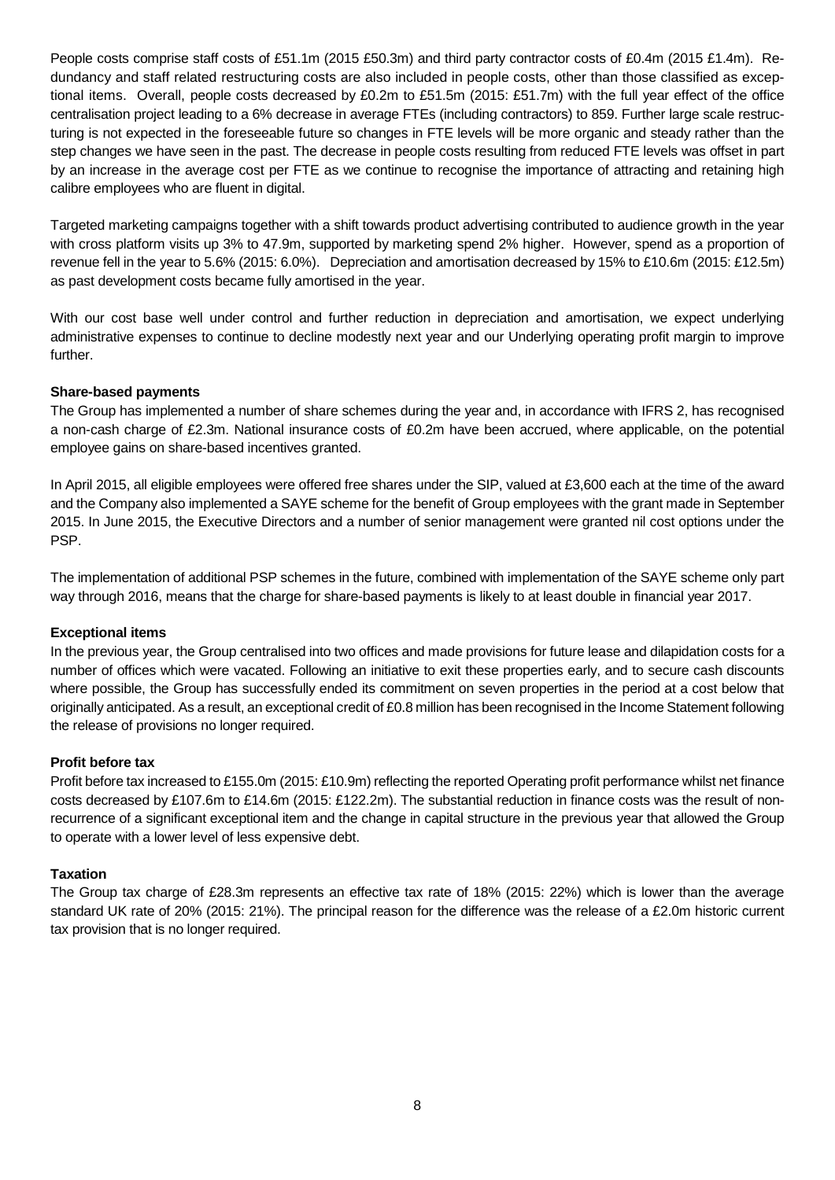People costs comprise staff costs of £51.1m (2015 £50.3m) and third party contractor costs of £0.4m (2015 £1.4m). Redundancy and staff related restructuring costs are also included in people costs, other than those classified as exceptional items. Overall, people costs decreased by £0.2m to £51.5m (2015: £51.7m) with the full year effect of the office centralisation project leading to a 6% decrease in average FTEs (including contractors) to 859. Further large scale restructuring is not expected in the foreseeable future so changes in FTE levels will be more organic and steady rather than the step changes we have seen in the past. The decrease in people costs resulting from reduced FTE levels was offset in part by an increase in the average cost per FTE as we continue to recognise the importance of attracting and retaining high calibre employees who are fluent in digital.

Targeted marketing campaigns together with a shift towards product advertising contributed to audience growth in the year with cross platform visits up 3% to 47.9m, supported by marketing spend 2% higher. However, spend as a proportion of revenue fell in the year to 5.6% (2015: 6.0%). Depreciation and amortisation decreased by 15% to £10.6m (2015: £12.5m) as past development costs became fully amortised in the year.

With our cost base well under control and further reduction in depreciation and amortisation, we expect underlying administrative expenses to continue to decline modestly next year and our Underlying operating profit margin to improve further.

## **Share-based payments**

The Group has implemented a number of share schemes during the year and, in accordance with IFRS 2, has recognised a non-cash charge of £2.3m. National insurance costs of £0.2m have been accrued, where applicable, on the potential employee gains on share-based incentives granted.

In April 2015, all eligible employees were offered free shares under the SIP, valued at £3,600 each at the time of the award and the Company also implemented a SAYE scheme for the benefit of Group employees with the grant made in September 2015. In June 2015, the Executive Directors and a number of senior management were granted nil cost options under the PSP.

The implementation of additional PSP schemes in the future, combined with implementation of the SAYE scheme only part way through 2016, means that the charge for share-based payments is likely to at least double in financial year 2017.

### **Exceptional items**

In the previous year, the Group centralised into two offices and made provisions for future lease and dilapidation costs for a number of offices which were vacated. Following an initiative to exit these properties early, and to secure cash discounts where possible, the Group has successfully ended its commitment on seven properties in the period at a cost below that originally anticipated. As a result, an exceptional credit of £0.8 million has been recognised in the Income Statement following the release of provisions no longer required.

## **Profit before tax**

Profit before tax increased to £155.0m (2015: £10.9m) reflecting the reported Operating profit performance whilst net finance costs decreased by £107.6m to £14.6m (2015: £122.2m). The substantial reduction in finance costs was the result of nonrecurrence of a significant exceptional item and the change in capital structure in the previous year that allowed the Group to operate with a lower level of less expensive debt.

### **Taxation**

The Group tax charge of £28.3m represents an effective tax rate of 18% (2015: 22%) which is lower than the average standard UK rate of 20% (2015: 21%). The principal reason for the difference was the release of a £2.0m historic current tax provision that is no longer required.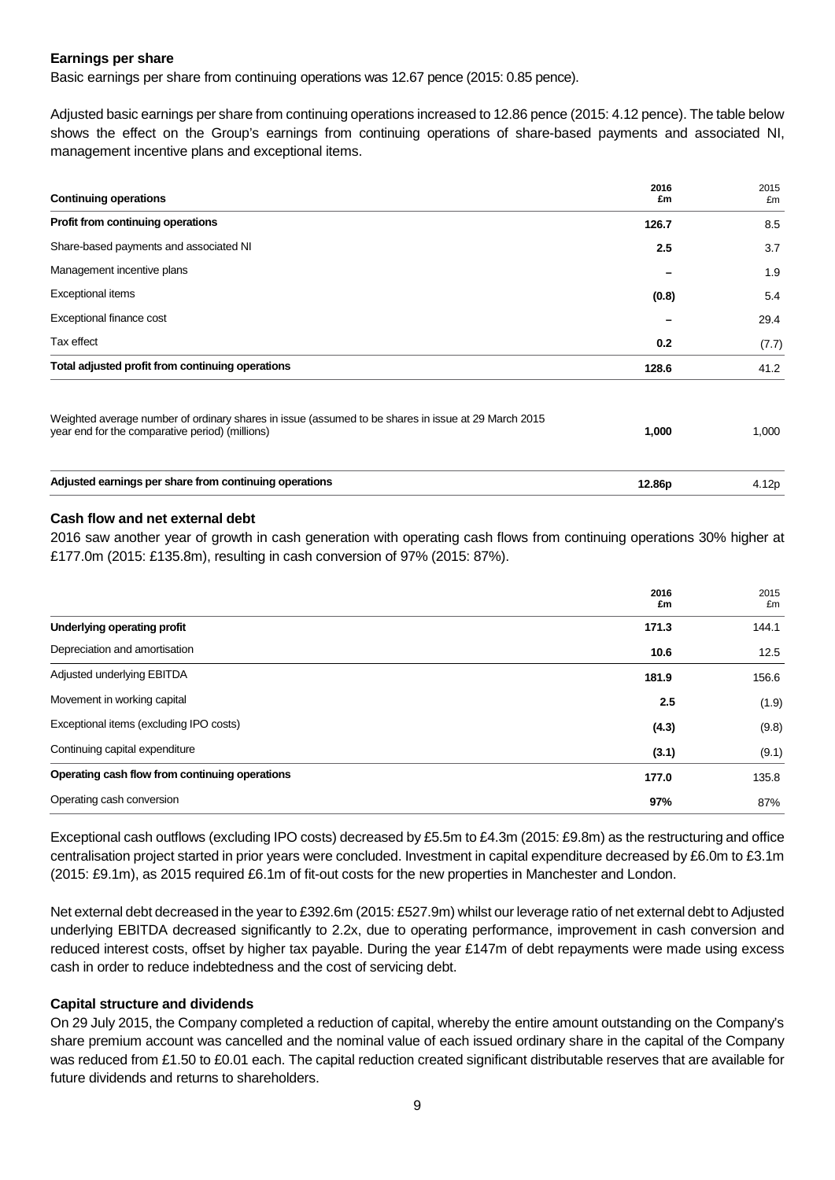## **Earnings per share**

Basic earnings per share from continuing operations was 12.67 pence (2015: 0.85 pence).

Adjusted basic earnings per share from continuing operations increased to 12.86 pence (2015: 4.12 pence). The table below shows the effect on the Group's earnings from continuing operations of share-based payments and associated NI, management incentive plans and exceptional items.

| <b>Continuing operations</b>                                                                                                                           | 2016<br>£m | 2015<br>£m |
|--------------------------------------------------------------------------------------------------------------------------------------------------------|------------|------------|
| Profit from continuing operations                                                                                                                      | 126.7      | 8.5        |
| Share-based payments and associated NI                                                                                                                 | 2.5        | 3.7        |
| Management incentive plans                                                                                                                             |            | 1.9        |
| Exceptional items                                                                                                                                      | (0.8)      | 5.4        |
| Exceptional finance cost                                                                                                                               |            | 29.4       |
| Tax effect                                                                                                                                             | 0.2        | (7.7)      |
| Total adjusted profit from continuing operations                                                                                                       | 128.6      | 41.2       |
| Weighted average number of ordinary shares in issue (assumed to be shares in issue at 29 March 2015<br>year end for the comparative period) (millions) | 1,000      | 1,000      |
| Adjusted earnings per share from continuing operations                                                                                                 | 12.86p     | 4.12p      |

## **Cash flow and net external debt**

2016 saw another year of growth in cash generation with operating cash flows from continuing operations 30% higher at £177.0m (2015: £135.8m), resulting in cash conversion of 97% (2015: 87%).

|                                                | 2016<br>£m | 2015<br>£m |
|------------------------------------------------|------------|------------|
| Underlying operating profit                    | 171.3      | 144.1      |
| Depreciation and amortisation                  | 10.6       | 12.5       |
| Adjusted underlying EBITDA                     | 181.9      | 156.6      |
| Movement in working capital                    | 2.5        | (1.9)      |
| Exceptional items (excluding IPO costs)        | (4.3)      | (9.8)      |
| Continuing capital expenditure                 | (3.1)      | (9.1)      |
| Operating cash flow from continuing operations | 177.0      | 135.8      |
| Operating cash conversion                      | 97%        | 87%        |

Exceptional cash outflows (excluding IPO costs) decreased by £5.5m to £4.3m (2015: £9.8m) as the restructuring and office centralisation project started in prior years were concluded. Investment in capital expenditure decreased by £6.0m to £3.1m (2015: £9.1m), as 2015 required £6.1m of fit-out costs for the new properties in Manchester and London.

Net external debt decreased in the year to £392.6m (2015: £527.9m) whilst our leverage ratio of net external debt to Adjusted underlying EBITDA decreased significantly to 2.2x, due to operating performance, improvement in cash conversion and reduced interest costs, offset by higher tax payable. During the year £147m of debt repayments were made using excess cash in order to reduce indebtedness and the cost of servicing debt.

## **Capital structure and dividends**

On 29 July 2015, the Company completed a reduction of capital, whereby the entire amount outstanding on the Company's share premium account was cancelled and the nominal value of each issued ordinary share in the capital of the Company was reduced from £1.50 to £0.01 each. The capital reduction created significant distributable reserves that are available for future dividends and returns to shareholders.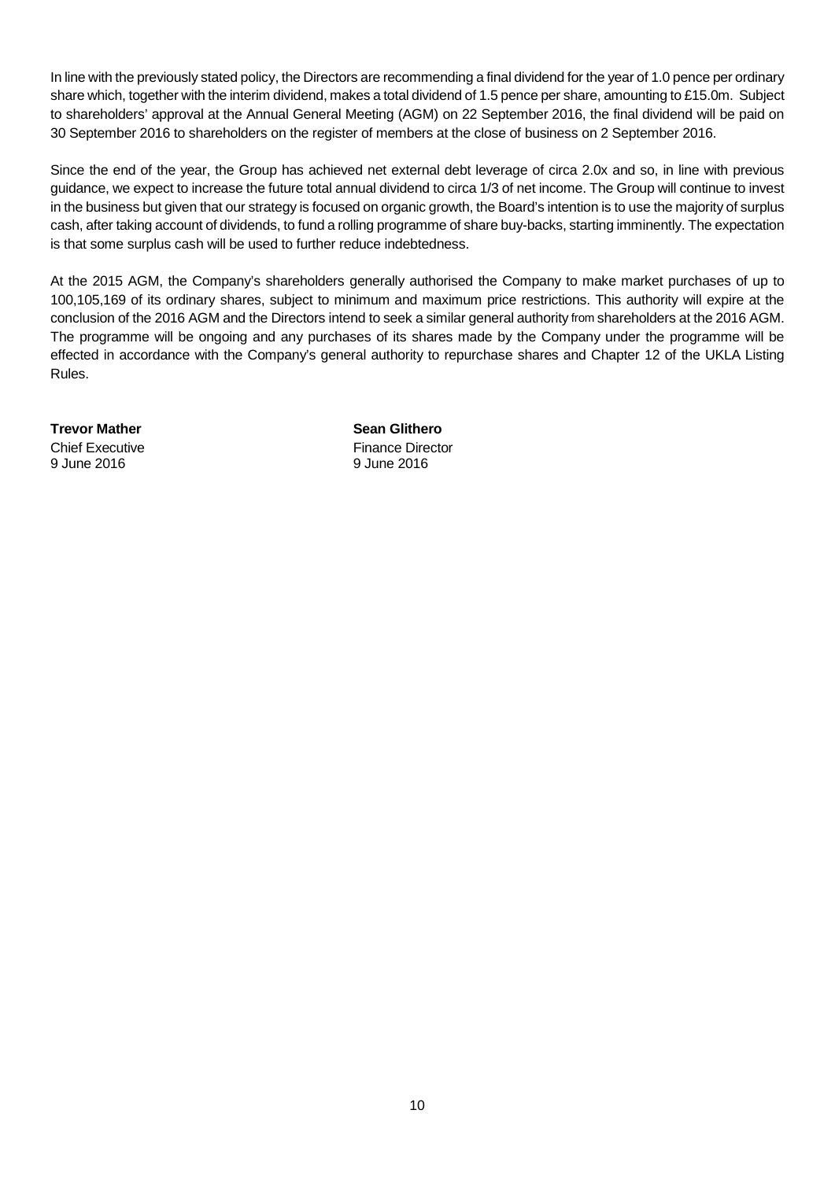In line with the previously stated policy, the Directors are recommending a final dividend for the year of 1.0 pence per ordinary share which, together with the interim dividend, makes a total dividend of 1.5 pence per share, amounting to £15.0m. Subject to shareholders' approval at the Annual General Meeting (AGM) on 22 September 2016, the final dividend will be paid on 30 September 2016 to shareholders on the register of members at the close of business on 2 September 2016.

Since the end of the year, the Group has achieved net external debt leverage of circa 2.0x and so, in line with previous guidance, we expect to increase the future total annual dividend to circa 1/3 of net income. The Group will continue to invest in the business but given that our strategy is focused on organic growth, the Board's intention is to use the majority of surplus cash, after taking account of dividends, to fund a rolling programme of share buy-backs, starting imminently. The expectation is that some surplus cash will be used to further reduce indebtedness.

At the 2015 AGM, the Company's shareholders generally authorised the Company to make market purchases of up to 100,105,169 of its ordinary shares, subject to minimum and maximum price restrictions. This authority will expire at the conclusion of the 2016 AGM and the Directors intend to seek a similar general authority from shareholders at the 2016 AGM. The programme will be ongoing and any purchases of its shares made by the Company under the programme will be effected in accordance with the Company's general authority to repurchase shares and Chapter 12 of the UKLA Listing Rules.

**Trevor Mather Sean Glithero** 

9 June 2016 9 June 2016

**Chief Executive Chief Executive Finance Director**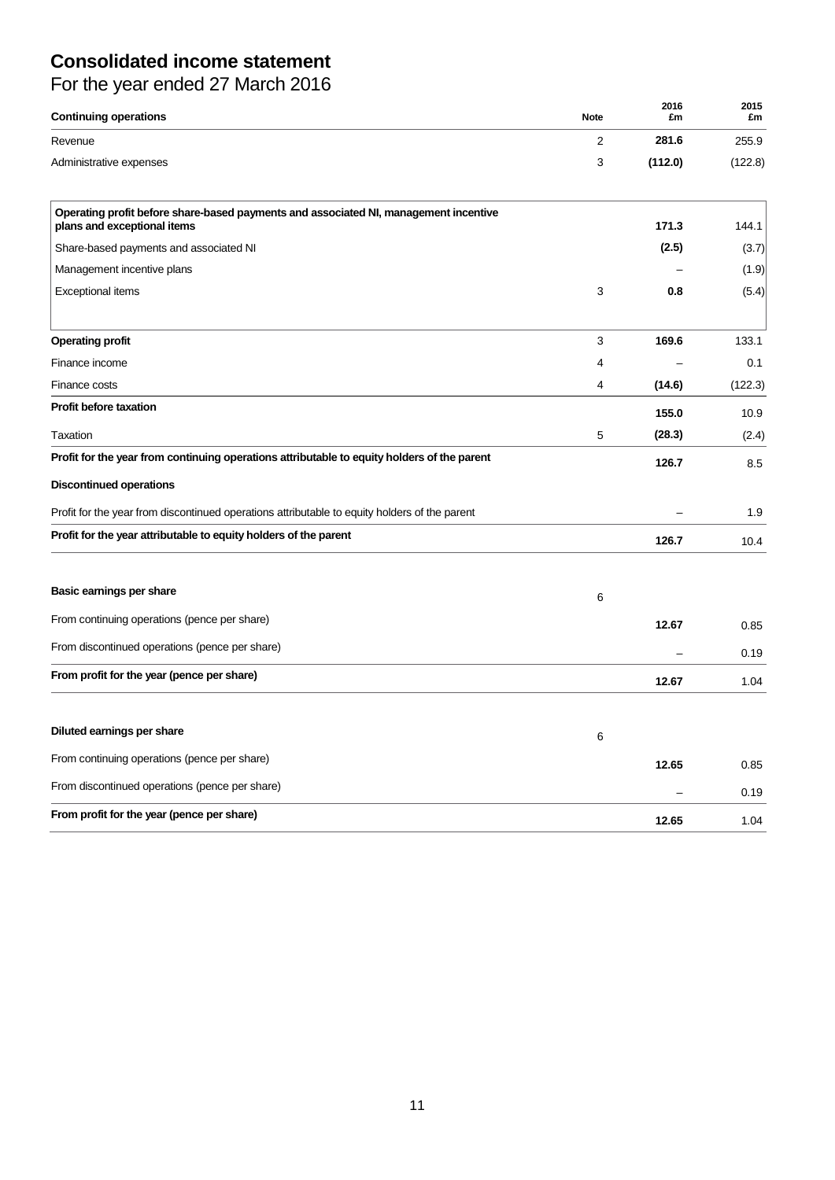# **Consolidated income statement**

| For the year ended 27 March 2016 |  |  |  |
|----------------------------------|--|--|--|
|----------------------------------|--|--|--|

| <b>Continuing operations</b>                                                                                        | <b>Note</b> | 2016<br>£m | 2015<br>£m |
|---------------------------------------------------------------------------------------------------------------------|-------------|------------|------------|
| Revenue                                                                                                             | 2           | 281.6      | 255.9      |
| Administrative expenses                                                                                             | 3           | (112.0)    | (122.8)    |
| Operating profit before share-based payments and associated NI, management incentive<br>plans and exceptional items |             | 171.3      | 144.1      |
| Share-based payments and associated NI                                                                              |             | (2.5)      | (3.7)      |
| Management incentive plans                                                                                          |             |            | (1.9)      |
| <b>Exceptional items</b>                                                                                            | 3           | 0.8        | (5.4)      |
| <b>Operating profit</b>                                                                                             | 3           | 169.6      | 133.1      |
| Finance income                                                                                                      | 4           |            | 0.1        |
| Finance costs                                                                                                       | 4           | (14.6)     | (122.3)    |
| <b>Profit before taxation</b>                                                                                       |             | 155.0      | 10.9       |
| Taxation                                                                                                            | 5           | (28.3)     | (2.4)      |
| Profit for the year from continuing operations attributable to equity holders of the parent                         |             | 126.7      | 8.5        |
| <b>Discontinued operations</b>                                                                                      |             |            |            |
| Profit for the year from discontinued operations attributable to equity holders of the parent                       |             |            | 1.9        |
| Profit for the year attributable to equity holders of the parent                                                    |             | 126.7      | 10.4       |
| Basic earnings per share                                                                                            | 6           |            |            |
| From continuing operations (pence per share)                                                                        |             | 12.67      | 0.85       |
| From discontinued operations (pence per share)                                                                      |             |            | 0.19       |
| From profit for the year (pence per share)                                                                          |             | 12.67      | 1.04       |
| Diluted earnings per share                                                                                          | 6           |            |            |
| From continuing operations (pence per share)                                                                        |             | 12.65      | 0.85       |
| From discontinued operations (pence per share)                                                                      |             |            | 0.19       |
| From profit for the year (pence per share)                                                                          |             | 12.65      | 1.04       |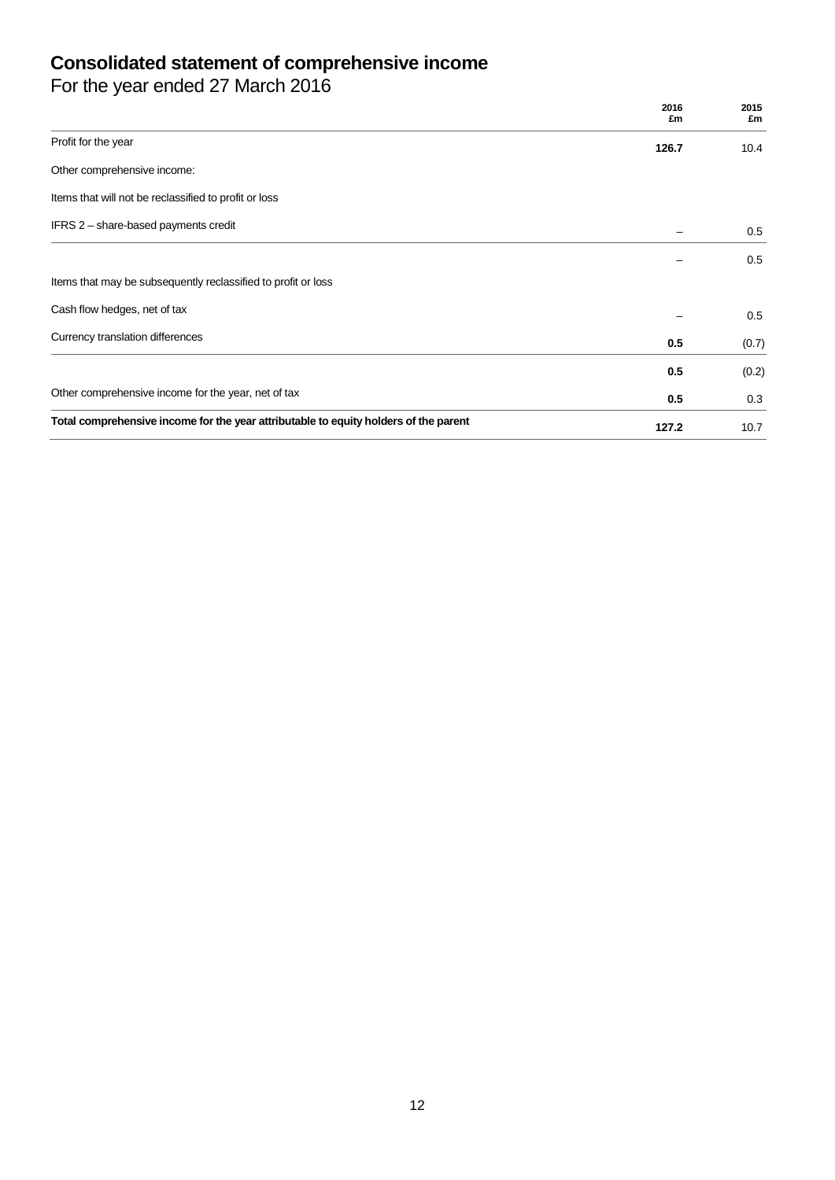## **Consolidated statement of comprehensive income**

For the year ended 27 March 2016

|                                                                                      | 2016<br>£m | 2015<br>£m |
|--------------------------------------------------------------------------------------|------------|------------|
| Profit for the year                                                                  | 126.7      | 10.4       |
| Other comprehensive income:                                                          |            |            |
| Items that will not be reclassified to profit or loss                                |            |            |
| IFRS 2 - share-based payments credit                                                 |            | 0.5        |
|                                                                                      |            | 0.5        |
| Items that may be subsequently reclassified to profit or loss                        |            |            |
| Cash flow hedges, net of tax                                                         |            | 0.5        |
| Currency translation differences                                                     | 0.5        | (0.7)      |
|                                                                                      | 0.5        | (0.2)      |
| Other comprehensive income for the year, net of tax                                  | 0.5        | 0.3        |
| Total comprehensive income for the year attributable to equity holders of the parent | 127.2      | 10.7       |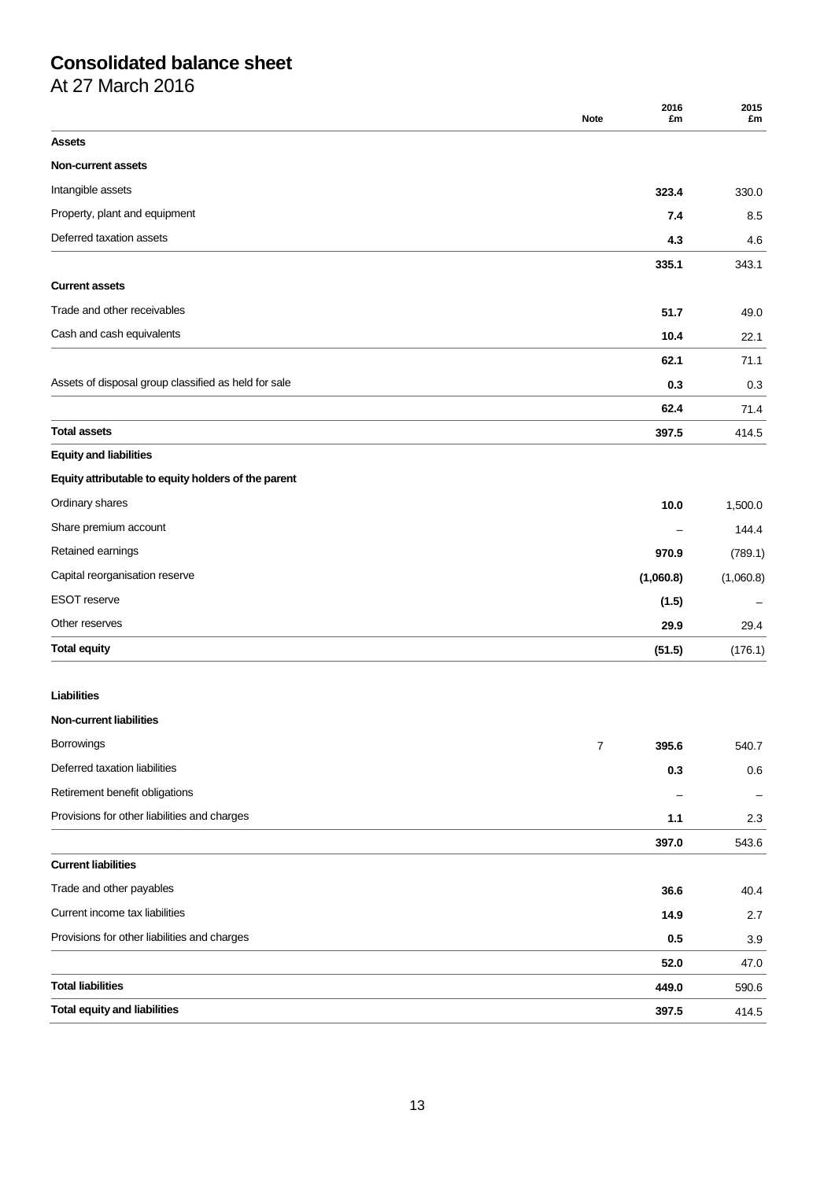# **Consolidated balance sheet**

At 27 March 2016

|                                                      | 2016<br><b>Note</b><br>£m | 2015<br>£m |
|------------------------------------------------------|---------------------------|------------|
| <b>Assets</b>                                        |                           |            |
| <b>Non-current assets</b>                            |                           |            |
| Intangible assets                                    | 323.4                     | 330.0      |
| Property, plant and equipment                        | 7.4                       | 8.5        |
| Deferred taxation assets                             | 4.3                       | 4.6        |
|                                                      | 335.1                     | 343.1      |
| <b>Current assets</b>                                |                           |            |
| Trade and other receivables                          | 51.7                      | 49.0       |
| Cash and cash equivalents                            | 10.4                      | 22.1       |
|                                                      | 62.1                      | 71.1       |
| Assets of disposal group classified as held for sale | 0.3                       | 0.3        |
|                                                      | 62.4                      | 71.4       |
| <b>Total assets</b>                                  | 397.5                     | 414.5      |
| <b>Equity and liabilities</b>                        |                           |            |
| Equity attributable to equity holders of the parent  |                           |            |
| Ordinary shares                                      | 10.0                      | 1,500.0    |
| Share premium account                                |                           | 144.4      |
| Retained earnings                                    | 970.9                     | (789.1)    |
| Capital reorganisation reserve                       | (1,060.8)                 | (1,060.8)  |
| <b>ESOT</b> reserve                                  | (1.5)                     |            |
| Other reserves                                       | 29.9                      | 29.4       |
| <b>Total equity</b>                                  | (51.5)                    | (176.1)    |
| <b>Liabilities</b>                                   |                           |            |
| <b>Non-current liabilities</b>                       |                           |            |
| Borrowings                                           | $\overline{7}$<br>395.6   | 540.7      |
| Deferred taxation liabilities                        | 0.3                       | 0.6        |
| Retirement benefit obligations                       |                           |            |
| Provisions for other liabilities and charges         | 1.1                       | 2.3        |
|                                                      | 397.0                     | 543.6      |
| <b>Current liabilities</b>                           |                           |            |
| Trade and other payables                             | 36.6                      | 40.4       |
| Current income tax liabilities                       | 14.9                      | 2.7        |
| Provisions for other liabilities and charges         | 0.5                       | 3.9        |
|                                                      | 52.0                      | 47.0       |
| <b>Total liabilities</b>                             | 449.0                     | 590.6      |
| <b>Total equity and liabilities</b>                  | 397.5                     | 414.5      |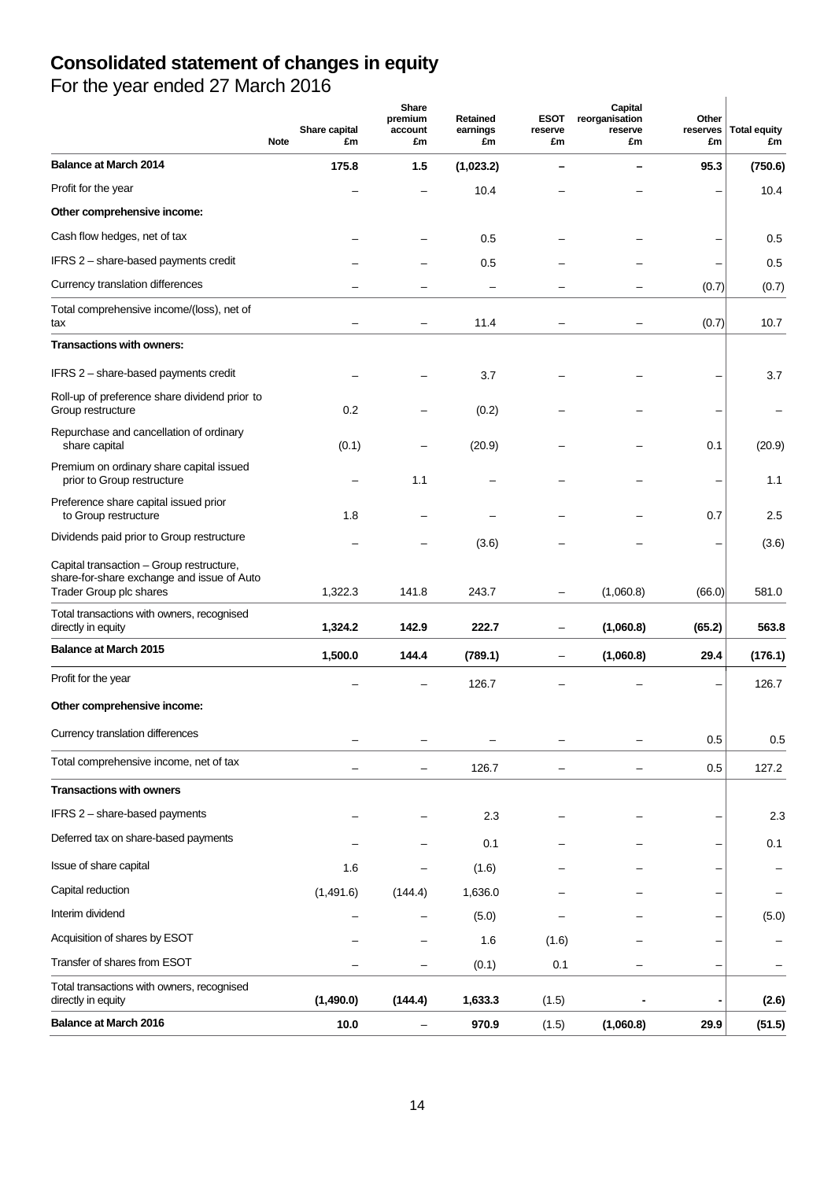# **Consolidated statement of changes in equity**

For the year ended 27 March 2016

| $\sim$                                                                                                            | Share capital<br><b>Note</b><br>£m | Share<br>premium<br>account<br>£m | Retained<br>earnings<br>£m | <b>ESOT</b><br>reserve<br>£m | Capital<br>reorganisation<br>reserve<br>£m | Other<br>reserves<br>£m | <b>Total equity</b><br>£m |
|-------------------------------------------------------------------------------------------------------------------|------------------------------------|-----------------------------------|----------------------------|------------------------------|--------------------------------------------|-------------------------|---------------------------|
| <b>Balance at March 2014</b>                                                                                      | 175.8                              | 1.5                               | (1,023.2)                  |                              |                                            | 95.3                    | (750.6)                   |
| Profit for the year                                                                                               |                                    |                                   | 10.4                       |                              |                                            |                         | 10.4                      |
| Other comprehensive income:                                                                                       |                                    |                                   |                            |                              |                                            |                         |                           |
| Cash flow hedges, net of tax                                                                                      |                                    |                                   | 0.5                        |                              |                                            |                         | 0.5                       |
| IFRS 2 - share-based payments credit                                                                              |                                    |                                   | 0.5                        |                              |                                            |                         | 0.5                       |
| Currency translation differences                                                                                  |                                    | -                                 | $\overline{\phantom{0}}$   |                              |                                            | (0.7)                   | (0.7)                     |
| Total comprehensive income/(loss), net of<br>tax                                                                  |                                    | -                                 | 11.4                       |                              |                                            | (0.7)                   | 10.7                      |
| Transactions with owners:                                                                                         |                                    |                                   |                            |                              |                                            |                         |                           |
| IFRS 2 - share-based payments credit                                                                              |                                    |                                   | 3.7                        |                              |                                            |                         | 3.7                       |
| Roll-up of preference share dividend prior to<br>Group restructure                                                | 0.2                                |                                   | (0.2)                      |                              |                                            |                         |                           |
| Repurchase and cancellation of ordinary<br>share capital                                                          | (0.1)                              |                                   | (20.9)                     |                              |                                            | 0.1                     | (20.9)                    |
| Premium on ordinary share capital issued<br>prior to Group restructure                                            |                                    | 1.1                               |                            |                              |                                            |                         | 1.1                       |
| Preference share capital issued prior<br>to Group restructure                                                     | 1.8                                |                                   |                            |                              |                                            | 0.7                     | 2.5                       |
| Dividends paid prior to Group restructure                                                                         |                                    |                                   | (3.6)                      |                              |                                            |                         | (3.6)                     |
| Capital transaction - Group restructure,<br>share-for-share exchange and issue of Auto<br>Trader Group plc shares | 1,322.3                            | 141.8                             | 243.7                      | -                            | (1,060.8)                                  | (66.0)                  | 581.0                     |
| Total transactions with owners, recognised<br>directly in equity                                                  | 1,324.2                            | 142.9                             | 222.7                      | $\qquad \qquad -$            | (1,060.8)                                  | (65.2)                  | 563.8                     |
| <b>Balance at March 2015</b>                                                                                      | 1,500.0                            | 144.4                             | (789.1)                    | $\qquad \qquad -$            | (1,060.8)                                  | 29.4                    | (176.1)                   |
| Profit for the year                                                                                               |                                    |                                   | 126.7                      |                              |                                            |                         | 126.7                     |
| Other comprehensive income:                                                                                       |                                    |                                   |                            |                              |                                            |                         |                           |
| Currency translation differences                                                                                  |                                    |                                   |                            |                              |                                            |                         |                           |
| Total comprehensive income, net of tax                                                                            |                                    |                                   |                            |                              |                                            | 0.5                     | 0.5                       |
|                                                                                                                   |                                    | $\overline{\phantom{0}}$          | 126.7                      |                              |                                            | 0.5                     | 127.2                     |
| <b>Transactions with owners</b>                                                                                   |                                    |                                   |                            |                              |                                            |                         |                           |
| IFRS 2 - share-based payments                                                                                     |                                    |                                   | 2.3                        |                              |                                            |                         | 2.3                       |
| Deferred tax on share-based payments                                                                              |                                    |                                   | 0.1                        |                              |                                            |                         | 0.1                       |
| Issue of share capital                                                                                            | 1.6                                |                                   | (1.6)                      |                              |                                            |                         |                           |
| Capital reduction                                                                                                 | (1,491.6)                          | (144.4)                           | 1,636.0                    |                              |                                            |                         |                           |
| Interim dividend                                                                                                  |                                    |                                   | (5.0)                      |                              |                                            |                         | (5.0)                     |
| Acquisition of shares by ESOT                                                                                     |                                    |                                   | 1.6                        | (1.6)                        |                                            |                         |                           |
| Transfer of shares from ESOT                                                                                      |                                    | -                                 | (0.1)                      | 0.1                          |                                            |                         |                           |
| Total transactions with owners, recognised<br>directly in equity                                                  | (1,490.0)                          | (144.4)                           | 1,633.3                    | (1.5)                        |                                            |                         | (2.6)                     |
| <b>Balance at March 2016</b>                                                                                      | 10.0                               | -                                 | 970.9                      | (1.5)                        | (1,060.8)                                  | 29.9                    | (51.5)                    |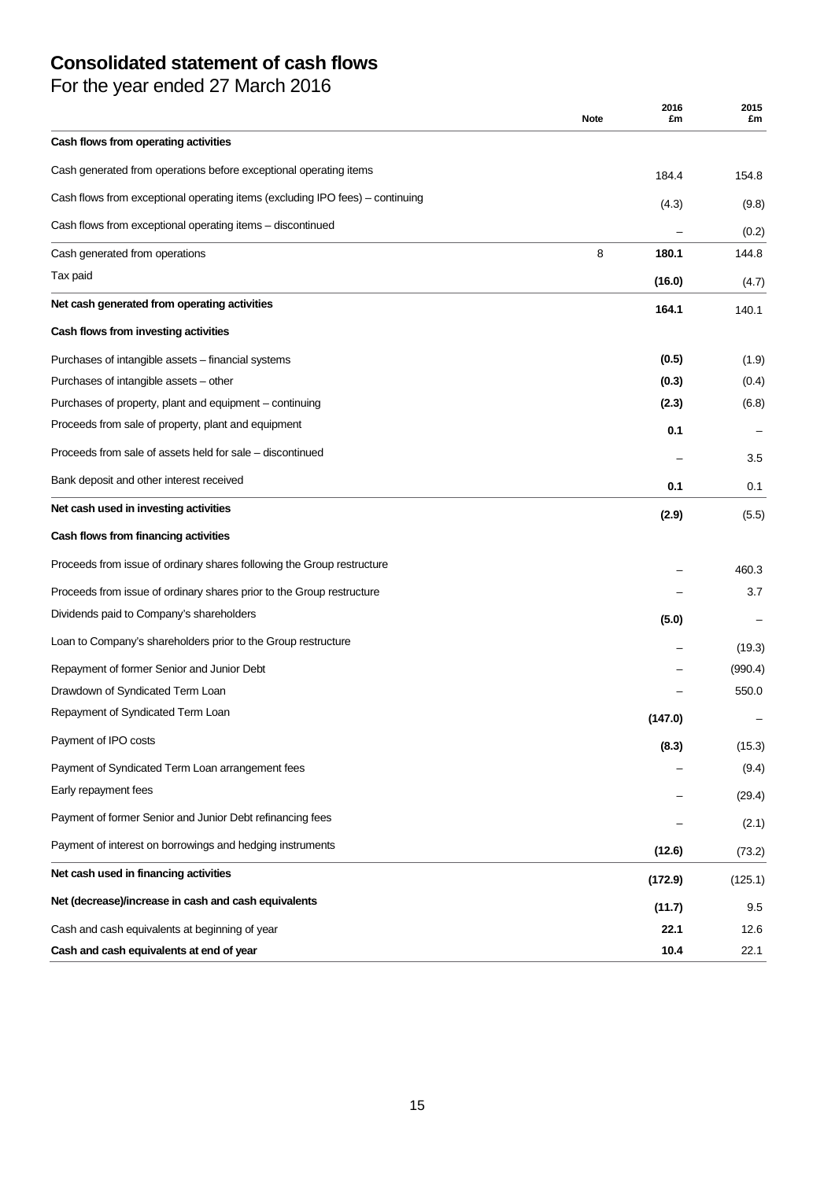# **Consolidated statement of cash flows**

For the year ended 27 March 2016

|                                                                               | <b>Note</b> | 2016<br>£m | 2015<br>£m |
|-------------------------------------------------------------------------------|-------------|------------|------------|
| Cash flows from operating activities                                          |             |            |            |
| Cash generated from operations before exceptional operating items             |             | 184.4      | 154.8      |
| Cash flows from exceptional operating items (excluding IPO fees) - continuing |             | (4.3)      | (9.8)      |
| Cash flows from exceptional operating items - discontinued                    |             |            | (0.2)      |
| Cash generated from operations                                                | 8           | 180.1      | 144.8      |
| Tax paid                                                                      |             | (16.0)     | (4.7)      |
| Net cash generated from operating activities                                  |             | 164.1      | 140.1      |
| Cash flows from investing activities                                          |             |            |            |
| Purchases of intangible assets - financial systems                            |             | (0.5)      | (1.9)      |
| Purchases of intangible assets - other                                        |             | (0.3)      | (0.4)      |
| Purchases of property, plant and equipment – continuing                       |             | (2.3)      | (6.8)      |
| Proceeds from sale of property, plant and equipment                           |             | 0.1        |            |
| Proceeds from sale of assets held for sale – discontinued                     |             |            | 3.5        |
| Bank deposit and other interest received                                      |             | 0.1        | 0.1        |
| Net cash used in investing activities                                         |             | (2.9)      | (5.5)      |
| Cash flows from financing activities                                          |             |            |            |
| Proceeds from issue of ordinary shares following the Group restructure        |             |            | 460.3      |
| Proceeds from issue of ordinary shares prior to the Group restructure         |             |            | 3.7        |
| Dividends paid to Company's shareholders                                      |             | (5.0)      |            |
| Loan to Company's shareholders prior to the Group restructure                 |             |            | (19.3)     |
| Repayment of former Senior and Junior Debt                                    |             |            | (990.4)    |
| Drawdown of Syndicated Term Loan                                              |             |            | 550.0      |
| Repayment of Syndicated Term Loan                                             |             | (147.0)    |            |
| Payment of IPO costs                                                          |             | (8.3)      | (15.3)     |
| Payment of Syndicated Term Loan arrangement fees                              |             |            | (9.4)      |
| Early repayment fees                                                          |             |            | (29.4)     |
| Payment of former Senior and Junior Debt refinancing fees                     |             |            | (2.1)      |
| Payment of interest on borrowings and hedging instruments                     |             | (12.6)     | (73.2)     |
| Net cash used in financing activities                                         |             | (172.9)    | (125.1)    |
| Net (decrease)/increase in cash and cash equivalents                          |             | (11.7)     | 9.5        |
| Cash and cash equivalents at beginning of year                                |             | 22.1       | 12.6       |
| Cash and cash equivalents at end of year                                      |             | 10.4       | 22.1       |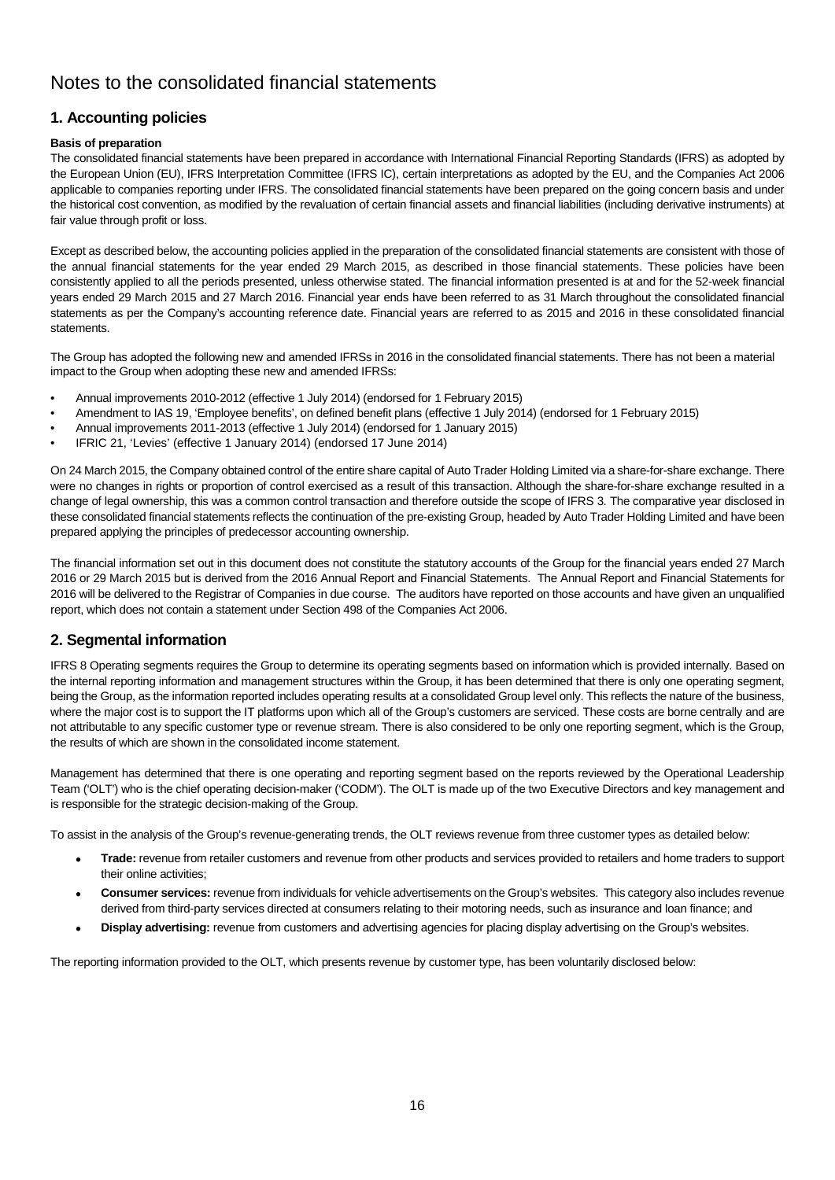## Notes to the consolidated financial statements

## **1. Accounting policies**

### **Basis of preparation**

The consolidated financial statements have been prepared in accordance with International Financial Reporting Standards (IFRS) as adopted by the European Union (EU), IFRS Interpretation Committee (IFRS IC), certain interpretations as adopted by the EU, and the Companies Act 2006 applicable to companies reporting under IFRS. The consolidated financial statements have been prepared on the going concern basis and under the historical cost convention, as modified by the revaluation of certain financial assets and financial liabilities (including derivative instruments) at fair value through profit or loss.

Except as described below, the accounting policies applied in the preparation of the consolidated financial statements are consistent with those of the annual financial statements for the year ended 29 March 2015, as described in those financial statements. These policies have been consistently applied to all the periods presented, unless otherwise stated. The financial information presented is at and for the 52-week financial years ended 29 March 2015 and 27 March 2016. Financial year ends have been referred to as 31 March throughout the consolidated financial statements as per the Company's accounting reference date. Financial years are referred to as 2015 and 2016 in these consolidated financial statements.

The Group has adopted the following new and amended IFRSs in 2016 in the consolidated financial statements. There has not been a material impact to the Group when adopting these new and amended IFRSs:

- Annual improvements 2010-2012 (effective 1 July 2014) (endorsed for 1 February 2015)
- Amendment to IAS 19, 'Employee benefits', on defined benefit plans (effective 1 July 2014) (endorsed for 1 February 2015)
- Annual improvements 2011-2013 (effective 1 July 2014) (endorsed for 1 January 2015)
- IFRIC 21, 'Levies' (effective 1 January 2014) (endorsed 17 June 2014)

On 24 March 2015, the Company obtained control of the entire share capital of Auto Trader Holding Limited via a share-for-share exchange. There were no changes in rights or proportion of control exercised as a result of this transaction. Although the share-for-share exchange resulted in a change of legal ownership, this was a common control transaction and therefore outside the scope of IFRS 3. The comparative year disclosed in these consolidated financial statements reflects the continuation of the pre-existing Group, headed by Auto Trader Holding Limited and have been prepared applying the principles of predecessor accounting ownership.

The financial information set out in this document does not constitute the statutory accounts of the Group for the financial years ended 27 March 2016 or 29 March 2015 but is derived from the 2016 Annual Report and Financial Statements. The Annual Report and Financial Statements for 2016 will be delivered to the Registrar of Companies in due course. The auditors have reported on those accounts and have given an unqualified report, which does not contain a statement under Section 498 of the Companies Act 2006.

## **2. Segmental information**

IFRS 8 Operating segments requires the Group to determine its operating segments based on information which is provided internally. Based on the internal reporting information and management structures within the Group, it has been determined that there is only one operating segment, being the Group, as the information reported includes operating results at a consolidated Group level only. This reflects the nature of the business, where the major cost is to support the IT platforms upon which all of the Group's customers are serviced. These costs are borne centrally and are not attributable to any specific customer type or revenue stream. There is also considered to be only one reporting segment, which is the Group, the results of which are shown in the consolidated income statement.

Management has determined that there is one operating and reporting segment based on the reports reviewed by the Operational Leadership Team ('OLT') who is the chief operating decision-maker ('CODM'). The OLT is made up of the two Executive Directors and key management and is responsible for the strategic decision-making of the Group.

To assist in the analysis of the Group's revenue-generating trends, the OLT reviews revenue from three customer types as detailed below:

- **Trade:** revenue from retailer customers and revenue from other products and services provided to retailers and home traders to support their online activities;
- **Consumer services:** revenue from individuals for vehicle advertisements on the Group's websites. This category also includes revenue derived from third-party services directed at consumers relating to their motoring needs, such as insurance and loan finance; and
- **Display advertising:** revenue from customers and advertising agencies for placing display advertising on the Group's websites.

The reporting information provided to the OLT, which presents revenue by customer type, has been voluntarily disclosed below: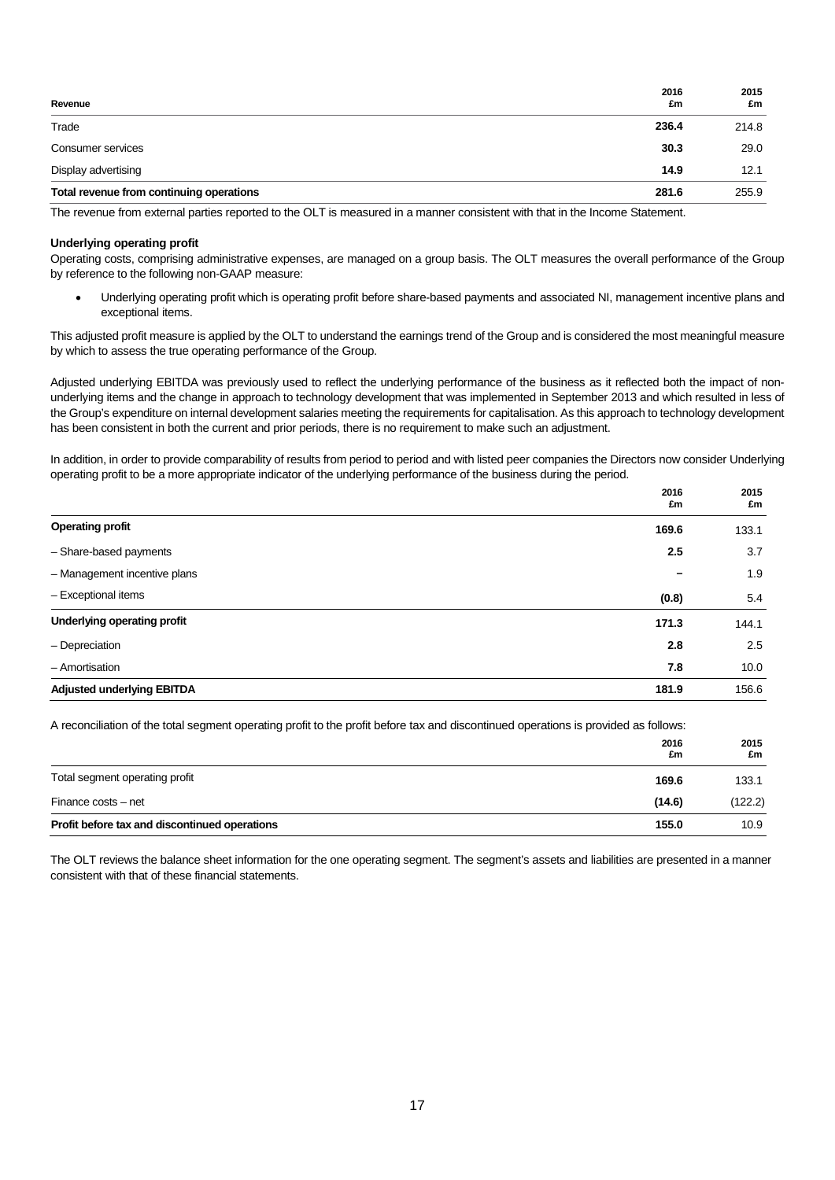| Revenue                                  | 2016<br>£m | 2015<br>£m |
|------------------------------------------|------------|------------|
| Trade                                    | 236.4      | 214.8      |
| Consumer services                        | 30.3       | 29.0       |
| Display advertising                      | 14.9       | 12.1       |
| Total revenue from continuing operations | 281.6      | 255.9      |

The revenue from external parties reported to the OLT is measured in a manner consistent with that in the Income Statement.

#### **Underlying operating profit**

Operating costs, comprising administrative expenses, are managed on a group basis. The OLT measures the overall performance of the Group by reference to the following non-GAAP measure:

• Underlying operating profit which is operating profit before share-based payments and associated NI, management incentive plans and exceptional items.

This adjusted profit measure is applied by the OLT to understand the earnings trend of the Group and is considered the most meaningful measure by which to assess the true operating performance of the Group.

Adjusted underlying EBITDA was previously used to reflect the underlying performance of the business as it reflected both the impact of nonunderlying items and the change in approach to technology development that was implemented in September 2013 and which resulted in less of the Group's expenditure on internal development salaries meeting the requirements for capitalisation. As this approach to technology development has been consistent in both the current and prior periods, there is no requirement to make such an adjustment.

In addition, in order to provide comparability of results from period to period and with listed peer companies the Directors now consider Underlying operating profit to be a more appropriate indicator of the underlying performance of the business during the period.

|                                   | 2016<br>£m | 2015<br>£m |
|-----------------------------------|------------|------------|
| <b>Operating profit</b>           | 169.6      | 133.1      |
| - Share-based payments            | 2.5        | 3.7        |
| - Management incentive plans      |            | 1.9        |
| - Exceptional items               | (0.8)      | 5.4        |
| Underlying operating profit       | 171.3      | 144.1      |
| - Depreciation                    | 2.8        | 2.5        |
| - Amortisation                    | 7.8        | 10.0       |
| <b>Adjusted underlying EBITDA</b> | 181.9      | 156.6      |

A reconciliation of the total segment operating profit to the profit before tax and discontinued operations is provided as follows:

|                                               | 2016<br>£m | 2015<br>£m |
|-----------------------------------------------|------------|------------|
| Total segment operating profit                | 169.6      | 133.1      |
| Finance costs - net                           | (14.6)     | (122.2)    |
| Profit before tax and discontinued operations | 155.0      | 10.9       |

The OLT reviews the balance sheet information for the one operating segment. The segment's assets and liabilities are presented in a manner consistent with that of these financial statements.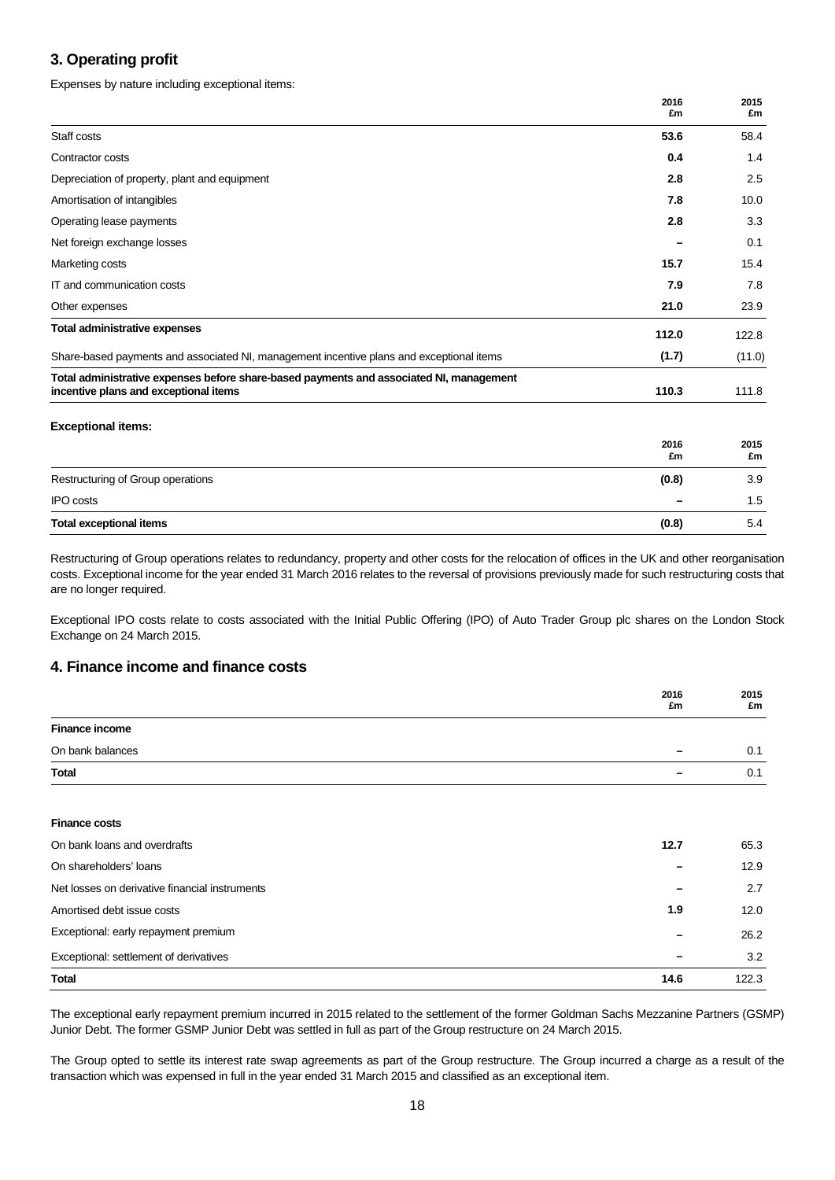## **3. Operating profit**

Expenses by nature including exceptional items:

| 2016<br>£m | 2015<br>£m |
|------------|------------|
| 53.6       | 58.4       |
| 0.4        | 1.4        |
| 2.8        | 2.5        |
| 7.8        | 10.0       |
| 2.8        | 3.3        |
|            | 0.1        |
| 15.7       | 15.4       |
| 7.9        | 7.8        |
| 21.0       | 23.9       |
| 112.0      | 122.8      |
| (1.7)      | (11.0)     |
| 110.3      | 111.8      |
|            |            |
| 2016<br>£m | 2015<br>£m |
| (0.8)      | 3.9        |
|            | 1.5        |
| (0.8)      | 5.4        |
|            |            |

Restructuring of Group operations relates to redundancy, property and other costs for the relocation of offices in the UK and other reorganisation costs. Exceptional income for the year ended 31 March 2016 relates to the reversal of provisions previously made for such restructuring costs that are no longer required.

Exceptional IPO costs relate to costs associated with the Initial Public Offering (IPO) of Auto Trader Group plc shares on the London Stock Exchange on 24 March 2015.

## **4. Finance income and finance costs**

|                                                | 2016<br>£m | 2015<br>£m |
|------------------------------------------------|------------|------------|
| <b>Finance income</b>                          |            |            |
| On bank balances                               |            | 0.1        |
| <b>Total</b>                                   |            | 0.1        |
|                                                |            |            |
| <b>Finance costs</b>                           |            |            |
| On bank loans and overdrafts                   | 12.7       | 65.3       |
| On shareholders' loans                         |            | 12.9       |
| Net losses on derivative financial instruments |            | 2.7        |
| Amortised debt issue costs                     | 1.9        | 12.0       |
| Exceptional: early repayment premium           |            | 26.2       |
| Exceptional: settlement of derivatives         |            | 3.2        |
| <b>Total</b>                                   | 14.6       | 122.3      |

The exceptional early repayment premium incurred in 2015 related to the settlement of the former Goldman Sachs Mezzanine Partners (GSMP) Junior Debt. The former GSMP Junior Debt was settled in full as part of the Group restructure on 24 March 2015.

The Group opted to settle its interest rate swap agreements as part of the Group restructure. The Group incurred a charge as a result of the transaction which was expensed in full in the year ended 31 March 2015 and classified as an exceptional item.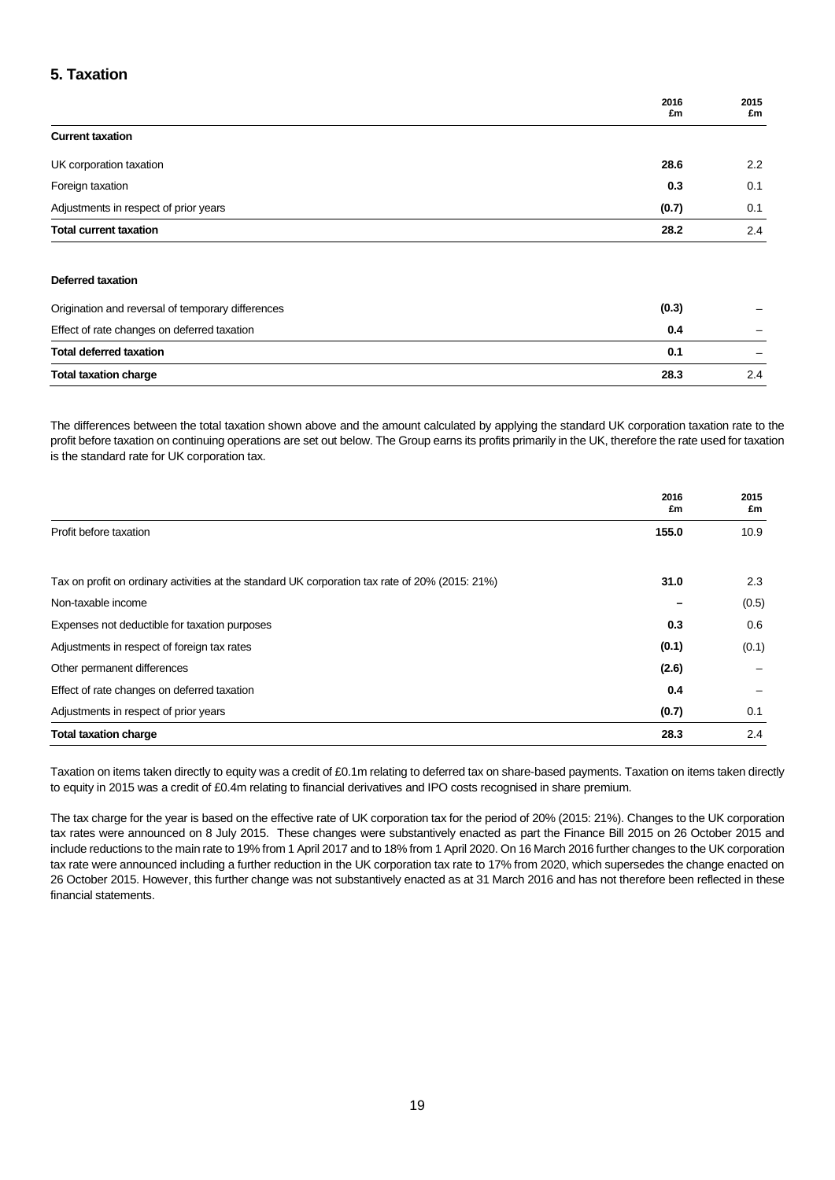## **5. Taxation**

|                                       | 2016<br>£m | 2015<br>£m |
|---------------------------------------|------------|------------|
| <b>Current taxation</b>               |            |            |
| UK corporation taxation               | 28.6       | 2.2        |
| Foreign taxation                      | 0.3        | 0.1        |
| Adjustments in respect of prior years | (0.7)      | 0.1        |
| <b>Total current taxation</b>         | 28.2       | 2.4        |
|                                       |            |            |

### **Deferred taxation**

| Origination and reversal of temporary differences | (0.3) |               |
|---------------------------------------------------|-------|---------------|
| Effect of rate changes on deferred taxation       | 0.4   |               |
| <b>Total deferred taxation</b>                    | 0.1   |               |
| <b>Total taxation charge</b>                      | 28.3  | $2.4^{\circ}$ |

The differences between the total taxation shown above and the amount calculated by applying the standard UK corporation taxation rate to the profit before taxation on continuing operations are set out below. The Group earns its profits primarily in the UK, therefore the rate used for taxation is the standard rate for UK corporation tax.

|                                                                                                 | 2016<br>£m | 2015<br>£m |
|-------------------------------------------------------------------------------------------------|------------|------------|
| Profit before taxation                                                                          | 155.0      | 10.9       |
| Tax on profit on ordinary activities at the standard UK corporation tax rate of 20% (2015: 21%) | 31.0       | 2.3        |
| Non-taxable income                                                                              |            | (0.5)      |
| Expenses not deductible for taxation purposes                                                   | 0.3        | 0.6        |
| Adjustments in respect of foreign tax rates                                                     | (0.1)      | (0.1)      |
| Other permanent differences                                                                     | (2.6)      |            |
| Effect of rate changes on deferred taxation                                                     | 0.4        |            |
| Adjustments in respect of prior years                                                           | (0.7)      | 0.1        |
| <b>Total taxation charge</b>                                                                    | 28.3       | 2.4        |

Taxation on items taken directly to equity was a credit of £0.1m relating to deferred tax on share-based payments. Taxation on items taken directly to equity in 2015 was a credit of £0.4m relating to financial derivatives and IPO costs recognised in share premium.

The tax charge for the year is based on the effective rate of UK corporation tax for the period of 20% (2015: 21%). Changes to the UK corporation tax rates were announced on 8 July 2015. These changes were substantively enacted as part the Finance Bill 2015 on 26 October 2015 and include reductions to the main rate to 19% from 1 April 2017 and to 18% from 1 April 2020. On 16 March 2016 further changes to the UK corporation tax rate were announced including a further reduction in the UK corporation tax rate to 17% from 2020, which supersedes the change enacted on 26 October 2015. However, this further change was not substantively enacted as at 31 March 2016 and has not therefore been reflected in these financial statements.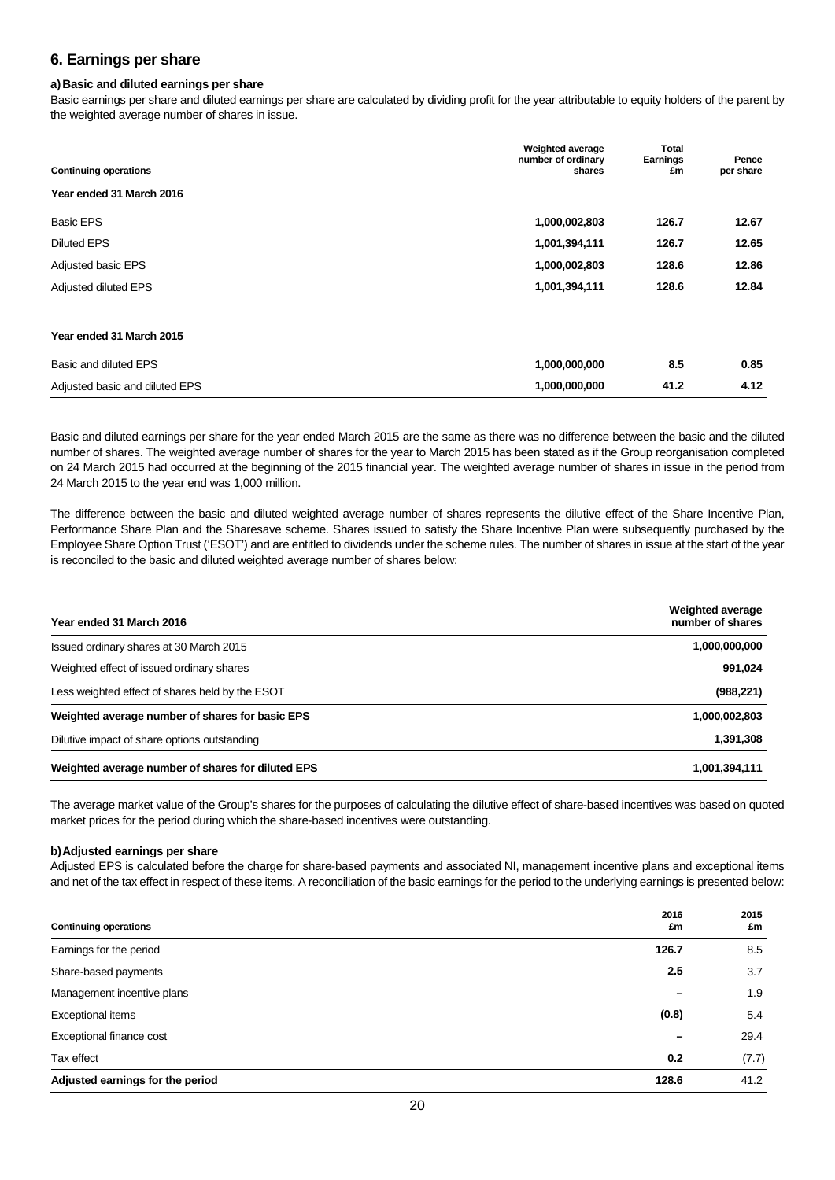## **6. Earnings per share**

### **a)Basic and diluted earnings per share**

Basic earnings per share and diluted earnings per share are calculated by dividing profit for the year attributable to equity holders of the parent by the weighted average number of shares in issue.

|                                | <b>Weighted average</b>      | <b>Total</b>          |                    |
|--------------------------------|------------------------------|-----------------------|--------------------|
| <b>Continuing operations</b>   | number of ordinary<br>shares | <b>Earnings</b><br>£m | Pence<br>per share |
| Year ended 31 March 2016       |                              |                       |                    |
| <b>Basic EPS</b>               | 1,000,002,803                | 126.7                 | 12.67              |
| <b>Diluted EPS</b>             | 1,001,394,111                | 126.7                 | 12.65              |
| Adjusted basic EPS             | 1,000,002,803                | 128.6                 | 12.86              |
| Adjusted diluted EPS           | 1,001,394,111                | 128.6                 | 12.84              |
| Year ended 31 March 2015       |                              |                       |                    |
| Basic and diluted EPS          | 1,000,000,000                | 8.5                   | 0.85               |
| Adjusted basic and diluted EPS | 1,000,000,000                | 41.2                  | 4.12               |

Basic and diluted earnings per share for the year ended March 2015 are the same as there was no difference between the basic and the diluted number of shares. The weighted average number of shares for the year to March 2015 has been stated as if the Group reorganisation completed on 24 March 2015 had occurred at the beginning of the 2015 financial year. The weighted average number of shares in issue in the period from 24 March 2015 to the year end was 1,000 million.

The difference between the basic and diluted weighted average number of shares represents the dilutive effect of the Share Incentive Plan, Performance Share Plan and the Sharesave scheme. Shares issued to satisfy the Share Incentive Plan were subsequently purchased by the Employee Share Option Trust ('ESOT') and are entitled to dividends under the scheme rules. The number of shares in issue at the start of the year is reconciled to the basic and diluted weighted average number of shares below:

| Year ended 31 March 2016                          | <b>Weighted average</b><br>number of shares |
|---------------------------------------------------|---------------------------------------------|
| Issued ordinary shares at 30 March 2015           | 1,000,000,000                               |
| Weighted effect of issued ordinary shares         | 991,024                                     |
| Less weighted effect of shares held by the ESOT   | (988, 221)                                  |
| Weighted average number of shares for basic EPS   | 1,000,002,803                               |
| Dilutive impact of share options outstanding      | 1,391,308                                   |
| Weighted average number of shares for diluted EPS | 1,001,394,111                               |

The average market value of the Group's shares for the purposes of calculating the dilutive effect of share-based incentives was based on quoted market prices for the period during which the share-based incentives were outstanding.

### **b)Adjusted earnings per share**

Adjusted EPS is calculated before the charge for share-based payments and associated NI, management incentive plans and exceptional items and net of the tax effect in respect of these items. A reconciliation of the basic earnings for the period to the underlying earnings is presented below:

| <b>Continuing operations</b>     | 2016<br>£m | 2015<br>£m |
|----------------------------------|------------|------------|
| Earnings for the period          | 126.7      | 8.5        |
| Share-based payments             | 2.5        | 3.7        |
| Management incentive plans       |            | 1.9        |
| Exceptional items                | (0.8)      | 5.4        |
| Exceptional finance cost         |            | 29.4       |
| Tax effect                       | 0.2        | (7.7)      |
| Adjusted earnings for the period | 128.6      | 41.2       |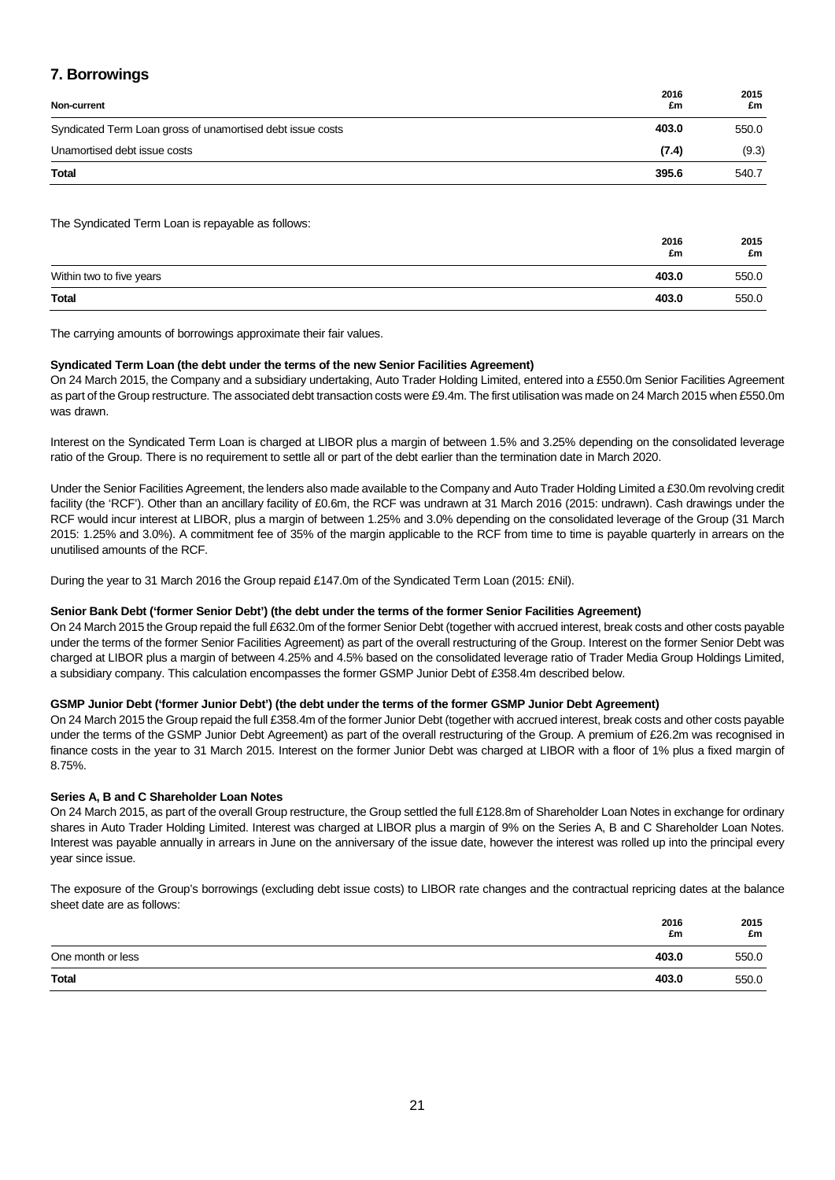## **7. Borrowings**

| Non-current                                                | 2016<br>£m | 2015<br>£m |
|------------------------------------------------------------|------------|------------|
| Syndicated Term Loan gross of unamortised debt issue costs | 403.0      | 550.0      |
| Unamortised debt issue costs                               | (7.4)      | (9.3)      |
| <b>Total</b>                                               | 395.6      | 540.7      |

The Syndicated Term Loan is repayable as follows:

|                          | 2016<br>£m | 2015<br>£m |
|--------------------------|------------|------------|
| Within two to five years | 403.0      | 550.0      |
| <b>Total</b>             | 403.0      | 550.0      |

The carrying amounts of borrowings approximate their fair values.

### **Syndicated Term Loan (the debt under the terms of the new Senior Facilities Agreement)**

On 24 March 2015, the Company and a subsidiary undertaking, Auto Trader Holding Limited, entered into a £550.0m Senior Facilities Agreement as part of the Group restructure. The associated debt transaction costs were £9.4m. The first utilisation was made on 24 March 2015 when £550.0m was drawn.

Interest on the Syndicated Term Loan is charged at LIBOR plus a margin of between 1.5% and 3.25% depending on the consolidated leverage ratio of the Group. There is no requirement to settle all or part of the debt earlier than the termination date in March 2020.

Under the Senior Facilities Agreement, the lenders also made available to the Company and Auto Trader Holding Limited a £30.0m revolving credit facility (the 'RCF'). Other than an ancillary facility of £0.6m, the RCF was undrawn at 31 March 2016 (2015: undrawn). Cash drawings under the RCF would incur interest at LIBOR, plus a margin of between 1.25% and 3.0% depending on the consolidated leverage of the Group (31 March 2015: 1.25% and 3.0%). A commitment fee of 35% of the margin applicable to the RCF from time to time is payable quarterly in arrears on the unutilised amounts of the RCF.

During the year to 31 March 2016 the Group repaid £147.0m of the Syndicated Term Loan (2015: £Nil).

### **Senior Bank Debt ('former Senior Debt') (the debt under the terms of the former Senior Facilities Agreement)**

On 24 March 2015 the Group repaid the full £632.0m of the former Senior Debt (together with accrued interest, break costs and other costs payable under the terms of the former Senior Facilities Agreement) as part of the overall restructuring of the Group. Interest on the former Senior Debt was charged at LIBOR plus a margin of between 4.25% and 4.5% based on the consolidated leverage ratio of Trader Media Group Holdings Limited, a subsidiary company. This calculation encompasses the former GSMP Junior Debt of £358.4m described below.

### **GSMP Junior Debt ('former Junior Debt') (the debt under the terms of the former GSMP Junior Debt Agreement)**

On 24 March 2015 the Group repaid the full £358.4m of the former Junior Debt (together with accrued interest, break costs and other costs payable under the terms of the GSMP Junior Debt Agreement) as part of the overall restructuring of the Group. A premium of £26.2m was recognised in finance costs in the year to 31 March 2015. Interest on the former Junior Debt was charged at LIBOR with a floor of 1% plus a fixed margin of 8.75%.

### **Series A, B and C Shareholder Loan Notes**

On 24 March 2015, as part of the overall Group restructure, the Group settled the full £128.8m of Shareholder Loan Notes in exchange for ordinary shares in Auto Trader Holding Limited. Interest was charged at LIBOR plus a margin of 9% on the Series A, B and C Shareholder Loan Notes. Interest was payable annually in arrears in June on the anniversary of the issue date, however the interest was rolled up into the principal every year since issue.

The exposure of the Group's borrowings (excluding debt issue costs) to LIBOR rate changes and the contractual repricing dates at the balance sheet date are as follows:

|                   | 2016<br>£m | 2015<br>£m |
|-------------------|------------|------------|
| One month or less | 403.0      | 550.0      |
| <b>Total</b>      | 403.0      | 550.0      |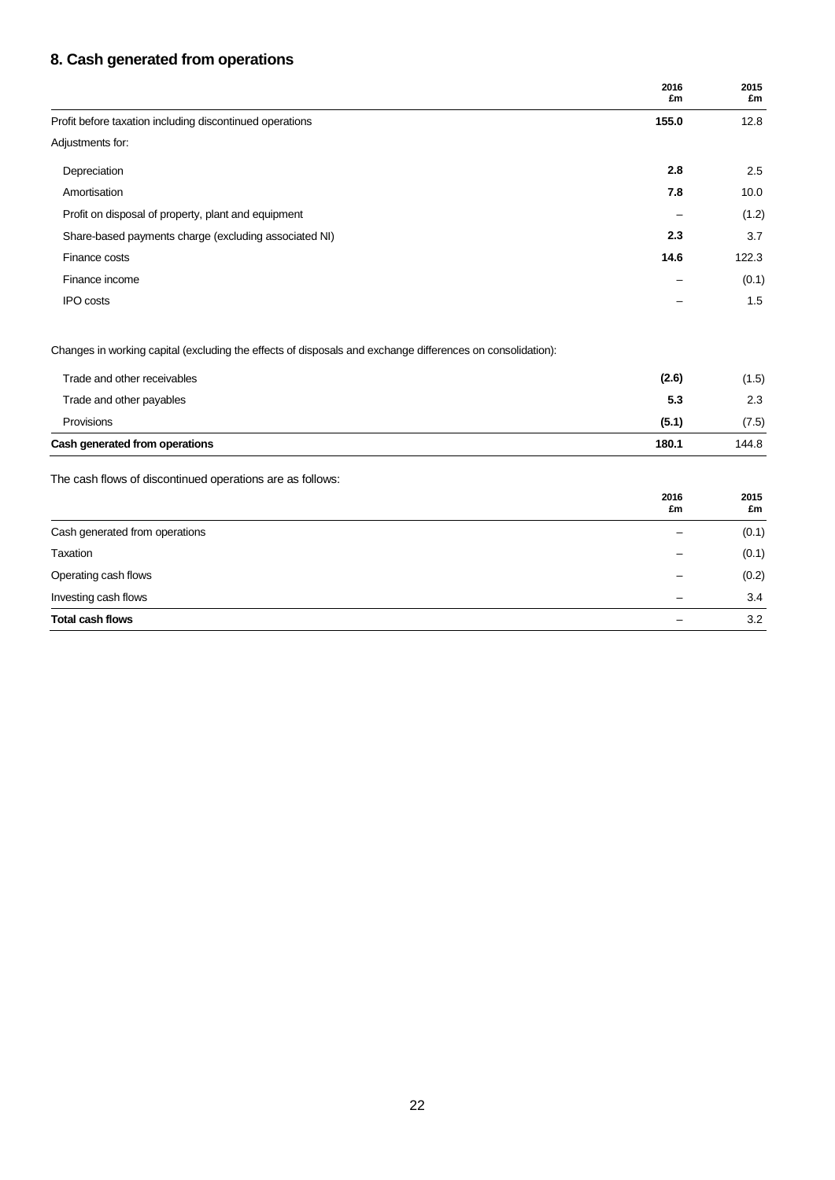## **8. Cash generated from operations**

|                                                                                                            | 2016<br>£m | 2015<br>£m |
|------------------------------------------------------------------------------------------------------------|------------|------------|
| Profit before taxation including discontinued operations                                                   | 155.0      | 12.8       |
| Adjustments for:                                                                                           |            |            |
| Depreciation                                                                                               | 2.8        | 2.5        |
| Amortisation                                                                                               | 7.8        | 10.0       |
| Profit on disposal of property, plant and equipment                                                        |            | (1.2)      |
| Share-based payments charge (excluding associated NI)                                                      | 2.3        | 3.7        |
| Finance costs                                                                                              | 14.6       | 122.3      |
| Finance income                                                                                             |            | (0.1)      |
| <b>IPO</b> costs                                                                                           |            | 1.5        |
| Changes in working capital (excluding the effects of disposals and exchange differences on consolidation): |            |            |
| Trade and other receivables                                                                                | (2.6)      | (1.5)      |
| Trade and other payables                                                                                   | 5.3        | 2.3        |
| Provisions                                                                                                 | (5.1)      | (7.5)      |
| Cash generated from operations                                                                             | 180.1      | 144.8      |
| The cash flows of discontinued operations are as follows:                                                  |            |            |
|                                                                                                            | 2016<br>£m | 2015<br>£m |
| Cash generated from operations                                                                             |            | (0.1)      |
| Taxation                                                                                                   |            | (0.1)      |
| Operating cash flows                                                                                       |            | (0.2)      |
| Investing cash flows                                                                                       |            | 3.4        |

**Total cash flows** – 3.2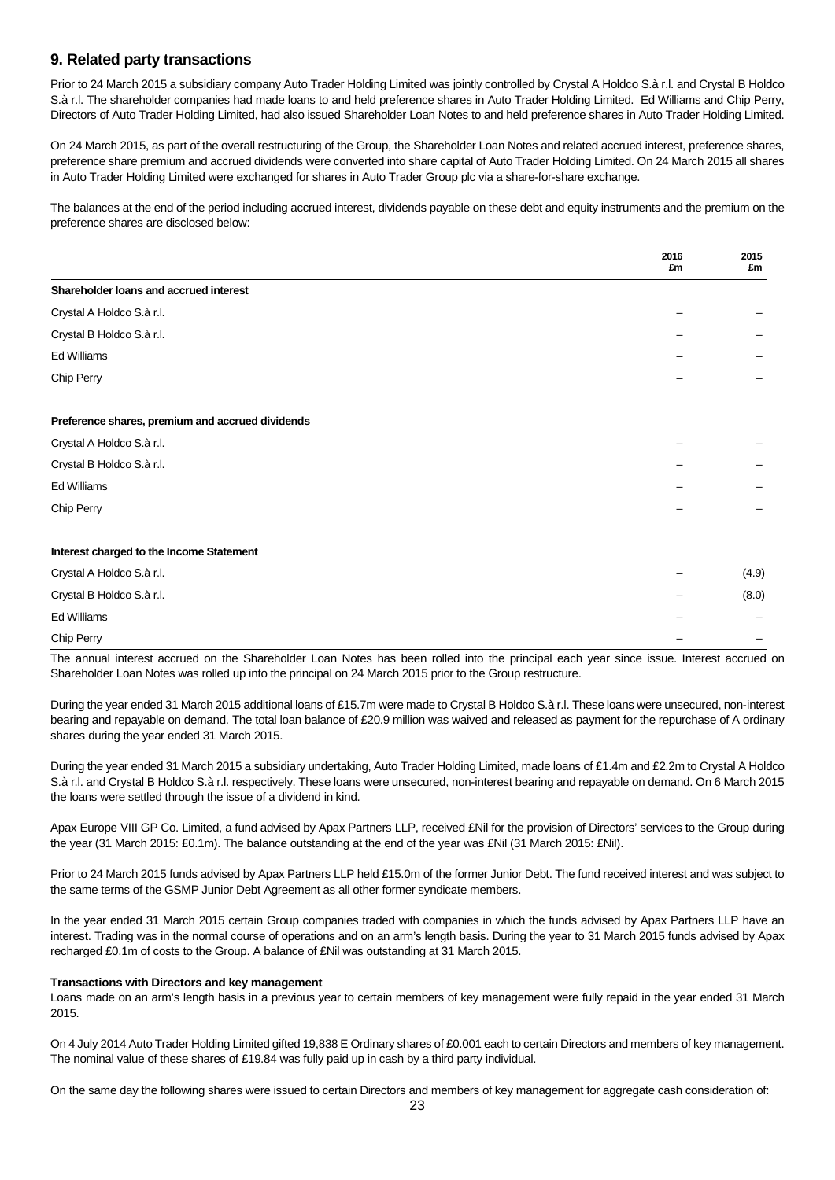## **9. Related party transactions**

Prior to 24 March 2015 a subsidiary company Auto Trader Holding Limited was jointly controlled by Crystal A Holdco S.à r.l. and Crystal B Holdco S.à r.l. The shareholder companies had made loans to and held preference shares in Auto Trader Holding Limited. Ed Williams and Chip Perry, Directors of Auto Trader Holding Limited, had also issued Shareholder Loan Notes to and held preference shares in Auto Trader Holding Limited.

On 24 March 2015, as part of the overall restructuring of the Group, the Shareholder Loan Notes and related accrued interest, preference shares, preference share premium and accrued dividends were converted into share capital of Auto Trader Holding Limited. On 24 March 2015 all shares in Auto Trader Holding Limited were exchanged for shares in Auto Trader Group plc via a share-for-share exchange.

The balances at the end of the period including accrued interest, dividends payable on these debt and equity instruments and the premium on the preference shares are disclosed below:

|                                                  | 2016<br>£m | 2015<br>£m |
|--------------------------------------------------|------------|------------|
| Shareholder loans and accrued interest           |            |            |
| Crystal A Holdco S.à r.l.                        |            |            |
| Crystal B Holdco S.à r.l.                        |            |            |
| Ed Williams                                      |            |            |
| Chip Perry                                       |            |            |
| Preference shares, premium and accrued dividends |            |            |
| Crystal A Holdco S.à r.l.                        |            |            |
| Crystal B Holdco S.à r.l.                        |            |            |
| Ed Williams                                      |            |            |
| Chip Perry                                       |            |            |
| Interest charged to the Income Statement         |            |            |
| Crystal A Holdco S.à r.l.                        |            | (4.9)      |
| Crystal B Holdco S.à r.l.                        |            | (8.0)      |
| Ed Williams                                      |            |            |
| Chip Perry                                       |            |            |

The annual interest accrued on the Shareholder Loan Notes has been rolled into the principal each year since issue. Interest accrued on Shareholder Loan Notes was rolled up into the principal on 24 March 2015 prior to the Group restructure.

During the year ended 31 March 2015 additional loans of £15.7m were made to Crystal B Holdco S.à r.l. These loans were unsecured, non-interest bearing and repayable on demand. The total loan balance of £20.9 million was waived and released as payment for the repurchase of A ordinary shares during the year ended 31 March 2015.

During the year ended 31 March 2015 a subsidiary undertaking, Auto Trader Holding Limited, made loans of £1.4m and £2.2m to Crystal A Holdco S.à r.l. and Crystal B Holdco S.à r.l. respectively. These loans were unsecured, non-interest bearing and repayable on demand. On 6 March 2015 the loans were settled through the issue of a dividend in kind.

Apax Europe VIII GP Co. Limited, a fund advised by Apax Partners LLP, received £Nil for the provision of Directors' services to the Group during the year (31 March 2015: £0.1m). The balance outstanding at the end of the year was £Nil (31 March 2015: £Nil).

Prior to 24 March 2015 funds advised by Apax Partners LLP held £15.0m of the former Junior Debt. The fund received interest and was subject to the same terms of the GSMP Junior Debt Agreement as all other former syndicate members.

In the year ended 31 March 2015 certain Group companies traded with companies in which the funds advised by Apax Partners LLP have an interest. Trading was in the normal course of operations and on an arm's length basis. During the year to 31 March 2015 funds advised by Apax recharged £0.1m of costs to the Group. A balance of £Nil was outstanding at 31 March 2015.

### **Transactions with Directors and key management**

Loans made on an arm's length basis in a previous year to certain members of key management were fully repaid in the year ended 31 March 2015.

On 4 July 2014 Auto Trader Holding Limited gifted 19,838 E Ordinary shares of £0.001 each to certain Directors and members of key management. The nominal value of these shares of £19.84 was fully paid up in cash by a third party individual.

On the same day the following shares were issued to certain Directors and members of key management for aggregate cash consideration of: